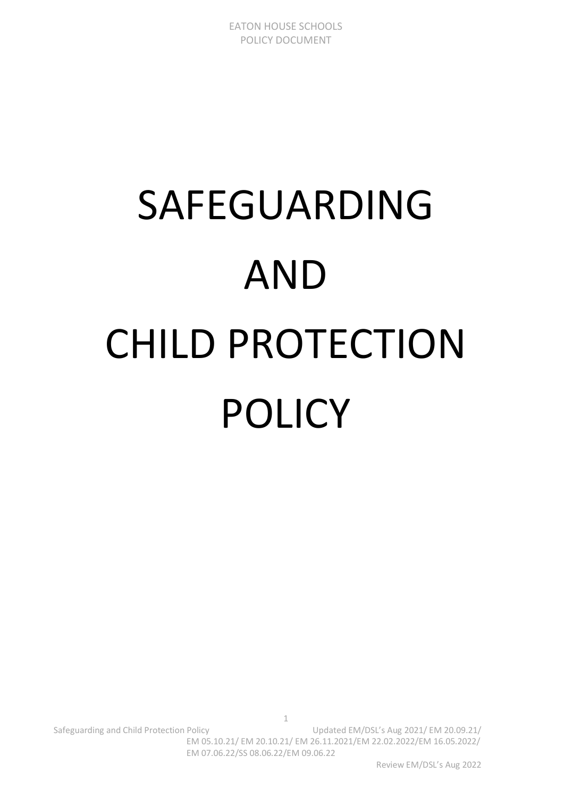# SAFEGUARDING AND CHILD PROTECTION POLICY

Safeguarding and Child Protection Policy Child Child Child Protection Policy Child Child Child Child Child Chi EM 05.10.21/ EM 20.10.21/ EM 26.11.2021/EM 22.02.2022/EM 16.05.2022/ EM 07.06.22/SS 08.06.22/EM 09.06.22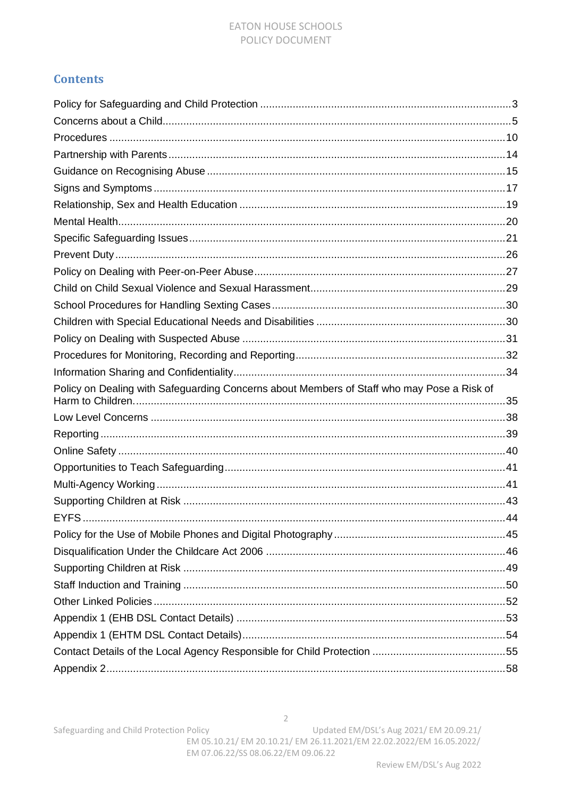#### **EATON HOUSE SCHOOLS** POLICY DOCUMENT

### **Contents**

| Policy on Dealing with Safeguarding Concerns about Members of Staff who may Pose a Risk of |  |
|--------------------------------------------------------------------------------------------|--|
|                                                                                            |  |
|                                                                                            |  |
|                                                                                            |  |
|                                                                                            |  |
|                                                                                            |  |
|                                                                                            |  |
|                                                                                            |  |
|                                                                                            |  |
|                                                                                            |  |
|                                                                                            |  |
|                                                                                            |  |
|                                                                                            |  |
|                                                                                            |  |
|                                                                                            |  |
|                                                                                            |  |
|                                                                                            |  |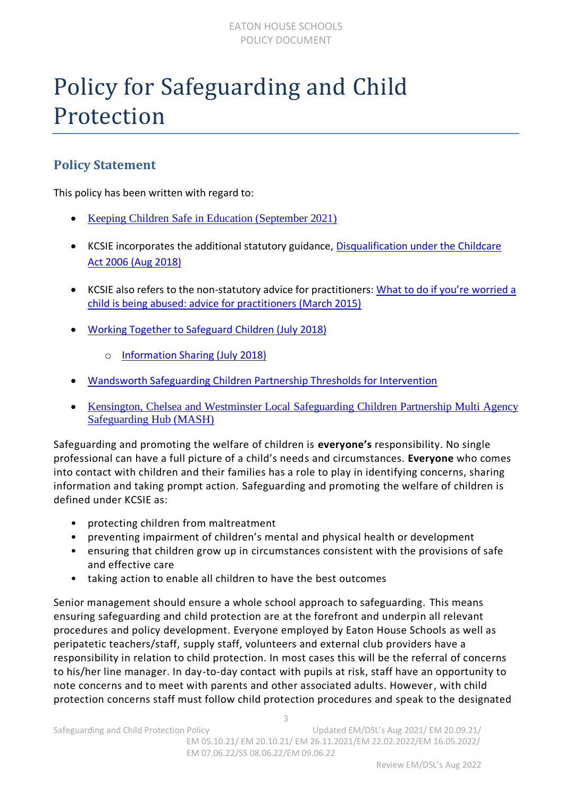### <span id="page-2-0"></span>Policy for Safeguarding and Child Protection

### **Policy Statement**

This policy has been written with regard to:

- [Keeping Children Safe in Education \(September 2021\)](https://assets.publishing.service.gov.uk/government/uploads/system/uploads/attachment_data/file/1021914/KCSIE_2021_September_guidance.pdf)
- KCSIE incorporates the additional statutory guidance, [Disqualification under the Childcare](https://www.gov.uk/government/publications/disqualification-under-the-childcare-act-2006/disqualification-under-the-childcare-act-2006)  [Act 2006 \(Aug 2018\)](https://www.gov.uk/government/publications/disqualification-under-the-childcare-act-2006/disqualification-under-the-childcare-act-2006)
- KCSIE also refers to the non-statutory advice for practitioners: What to d[o if you're worried a](https://assets.publishing.service.gov.uk/government/uploads/system/uploads/attachment_data/file/419604/What_to_do_if_you_re_worried_a_child_is_being_abused.pdf)  [child is being abused: advice for practitioners](https://assets.publishing.service.gov.uk/government/uploads/system/uploads/attachment_data/file/419604/What_to_do_if_you_re_worried_a_child_is_being_abused.pdf) (March 2015)
- [Working Together to Safeguard Children \(July 2018\)](https://assets.publishing.service.gov.uk/government/uploads/system/uploads/attachment_data/file/779401/Working_Together_to_Safeguard-Children.pdf)
	- o [Information Sharing \(July 2018\)](https://assets.publishing.service.gov.uk/government/uploads/system/uploads/attachment_data/file/721581/Information_sharing_advice_practitioners_safeguarding_services.pdf)
- [Wandsworth Safeguarding Children Partnership](https://wscp.org.uk/media/1252/wscp_thresholds_for_intervention.pdf) Thresholds for Intervention
- [Kensington, Chelsea and Westminster Local Safeguarding Children Partnership](https://www.rbkc.gov.uk/pdf/Threshold%20of%20Needs%20Guide.pdf) Multi Agency [Safeguarding Hub \(MASH\)](https://www.rbkc.gov.uk/pdf/Threshold%20of%20Needs%20Guide.pdf)

Safeguarding and promoting the welfare of children is **everyone's** responsibility. No single professional can have a full picture of a child's needs and circumstances. **Everyone** who comes into contact with children and their families has a role to play in identifying concerns, sharing information and taking prompt action. Safeguarding and promoting the welfare of children is defined under KCSIE as:

- protecting children from maltreatment
- preventing impairment of children's mental and physical health or development
- ensuring that children grow up in circumstances consistent with the provisions of safe and effective care
- taking action to enable all children to have the best outcomes

Senior management should ensure a whole school approach to safeguarding. This means ensuring safeguarding and child protection are at the forefront and underpin all relevant procedures and policy development. Everyone employed by Eaton House Schools as well as peripatetic teachers/staff, supply staff, volunteers and external club providers have a responsibility in relation to child protection. In most cases this will be the referral of concerns to his/her line manager. In day-to-day contact with pupils at risk, staff have an opportunity to note concerns and to meet with parents and other associated adults. However, with child protection concerns staff must follow child protection procedures and speak to the designated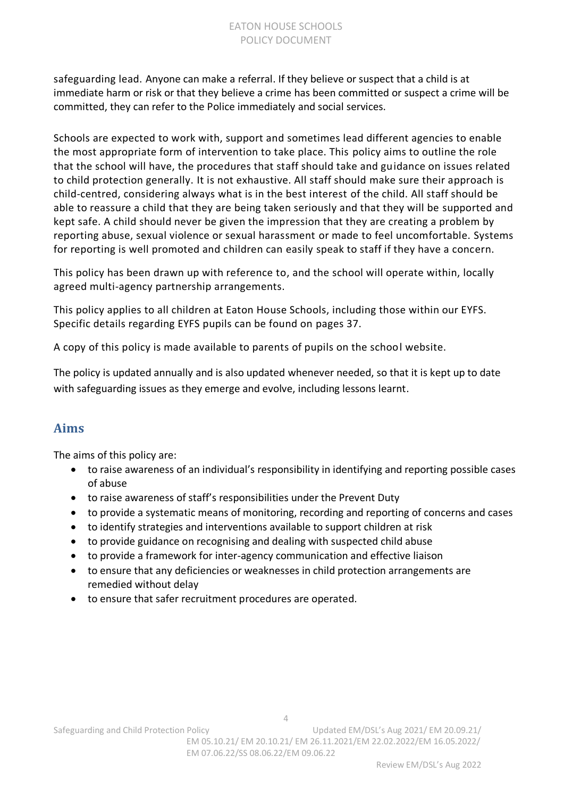safeguarding lead. Anyone can make a referral. If they believe or suspect that a child is at immediate harm or risk or that they believe a crime has been committed or suspect a crime will be committed, they can refer to the Police immediately and social services.

Schools are expected to work with, support and sometimes lead different agencies to enable the most appropriate form of intervention to take place. This policy aims to outline the role that the school will have, the procedures that staff should take and guidance on issues related to child protection generally. It is not exhaustive. All staff should make sure their approach is child-centred, considering always what is in the best interest of the child. All staff should be able to reassure a child that they are being taken seriously and that they will be supported and kept safe. A child should never be given the impression that they are creating a problem by reporting abuse, sexual violence or sexual harassment or made to feel uncomfortable. Systems for reporting is well promoted and children can easily speak to staff if they have a concern.

This policy has been drawn up with reference to, and the school will operate within, locally agreed multi-agency partnership arrangements.

This policy applies to all children at Eaton House Schools, including those within our EYFS. Specific details regarding EYFS pupils can be found on pages 37.

A copy of this policy is made available to parents of pupils on the school website.

The policy is updated annually and is also updated whenever needed, so that it is kept up to date with safeguarding issues as they emerge and evolve, including lessons learnt.

### **Aims**

The aims of this policy are:

- to raise awareness of an individual's responsibility in identifying and reporting possible cases of abuse
- to raise awareness of staff's responsibilities under the Prevent Duty
- to provide a systematic means of monitoring, recording and reporting of concerns and cases
- to identify strategies and interventions available to support children at risk
- to provide guidance on recognising and dealing with suspected child abuse
- to provide a framework for inter-agency communication and effective liaison
- to ensure that any deficiencies or weaknesses in child protection arrangements are remedied without delay
- to ensure that safer recruitment procedures are operated.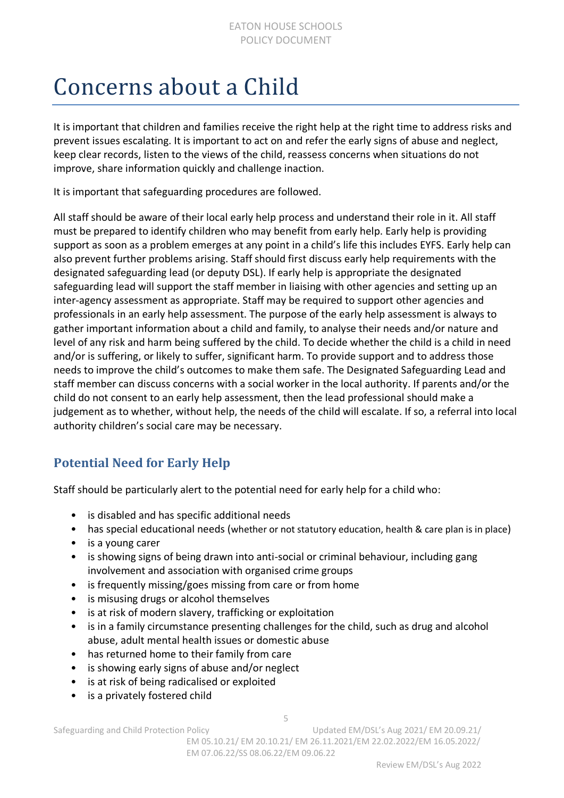### <span id="page-4-0"></span>Concerns about a Child

It is important that children and families receive the right help at the right time to address risks and prevent issues escalating. It is important to act on and refer the early signs of abuse and neglect, keep clear records, listen to the views of the child, reassess concerns when situations do not improve, share information quickly and challenge inaction.

It is important that safeguarding procedures are followed.

All staff should be aware of their local early help process and understand their role in it. All staff must be prepared to identify children who may benefit from early help. Early help is providing support as soon as a problem emerges at any point in a child's life this includes EYFS. Early help can also prevent further problems arising. Staff should first discuss early help requirements with the designated safeguarding lead (or deputy DSL). If early help is appropriate the designated safeguarding lead will support the staff member in liaising with other agencies and setting up an inter-agency assessment as appropriate. Staff may be required to support other agencies and professionals in an early help assessment. The purpose of the early help assessment is always to gather important information about a child and family, to analyse their needs and/or nature and level of any risk and harm being suffered by the child. To decide whether the child is a child in need and/or is suffering, or likely to suffer, significant harm. To provide support and to address those needs to improve the child's outcomes to make them safe. The Designated Safeguarding Lead and staff member can discuss concerns with a social worker in the local authority. If parents and/or the child do not consent to an early help assessment, then the lead professional should make a judgement as to whether, without help, the needs of the child will escalate. If so, a referral into local authority children's social care may be necessary.

### **Potential Need for Early Help**

Staff should be particularly alert to the potential need for early help for a child who:

- is disabled and has specific additional needs
- has special educational needs (whether or not statutory education, health & care plan is in place)
- is a young carer
- is showing signs of being drawn into anti-social or criminal behaviour, including gang involvement and association with organised crime groups
- is frequently missing/goes missing from care or from home
- is misusing drugs or alcohol themselves
- is at risk of modern slavery, trafficking or exploitation
- is in a family circumstance presenting challenges for the child, such as drug and alcohol abuse, adult mental health issues or domestic abuse

- has returned home to their family from care
- is showing early signs of abuse and/or neglect
- is at risk of being radicalised or exploited
- is a privately fostered child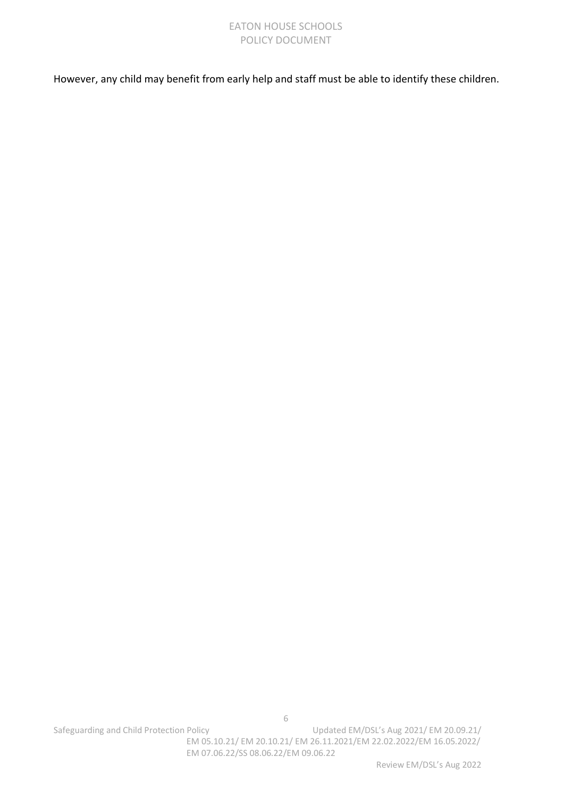#### EATON HOUSE SCHOOLS POLICY DOCUMENT

However, any child may benefit from early help and staff must be able to identify these children.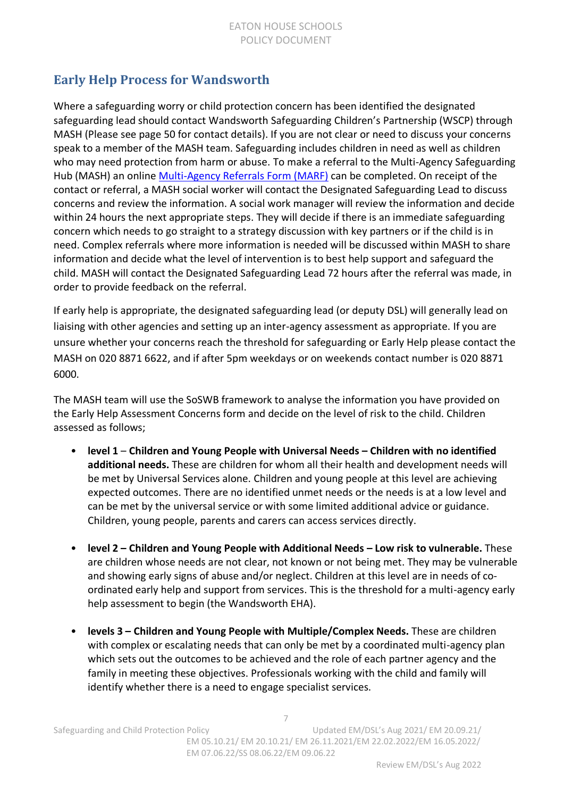### **Early Help Process for Wandsworth**

Where a safeguarding worry or child protection concern has been identified the designated safeguarding lead should contact Wandsworth Safeguarding Children's Partnership (WSCP) through MASH (Please see page 50 for contact details). If you are not clear or need to discuss your concerns speak to a member of the MASH team. Safeguarding includes children in need as well as children who may need protection from harm or abuse. To make a referral to the Multi-Agency Safeguarding Hub (MASH) an online [Multi-Agency Referrals Form \(MARF\)](https://www.wandsworth.gov.uk/health-and-social-care/children-and-families/make_a_referral_to_the_multi_agency_safeguarding_hub/) can be completed. On receipt of the contact or referral, a MASH social worker will contact the Designated Safeguarding Lead to discuss concerns and review the information. A social work manager will review the information and decide within 24 hours the next appropriate steps. They will decide if there is an immediate safeguarding concern which needs to go straight to a strategy discussion with key partners or if the child is in need. Complex referrals where more information is needed will be discussed within MASH to share information and decide what the level of intervention is to best help support and safeguard the child. MASH will contact the Designated Safeguarding Lead 72 hours after the referral was made, in order to provide feedback on the referral.

If early help is appropriate, the designated safeguarding lead (or deputy DSL) will generally lead on liaising with other agencies and setting up an inter-agency assessment as appropriate. If you are unsure whether your concerns reach the threshold for safeguarding or Early Help please contact the MASH on 020 8871 6622, and if after 5pm weekdays or on weekends contact number is 020 8871 6000.

The MASH team will use the SoSWB framework to analyse the information you have provided on the Early Help Assessment Concerns form and decide on the level of risk to the child. Children assessed as follows;

- **level 1 Children and Young People with Universal Needs – Children with no identified additional needs.** These are children for whom all their health and development needs will be met by Universal Services alone. Children and young people at this level are achieving expected outcomes. There are no identified unmet needs or the needs is at a low level and can be met by the universal service or with some limited additional advice or guidance. Children, young people, parents and carers can access services directly.
- **level 2 – Children and Young People with Additional Needs – Low risk to vulnerable.** These are children whose needs are not clear, not known or not being met. They may be vulnerable and showing early signs of abuse and/or neglect. Children at this level are in needs of coordinated early help and support from services. This is the threshold for a multi-agency early help assessment to begin (the Wandsworth EHA).
- **levels 3 – Children and Young People with Multiple/Complex Needs.** These are children with complex or escalating needs that can only be met by a coordinated multi-agency plan which sets out the outcomes to be achieved and the role of each partner agency and the family in meeting these objectives. Professionals working with the child and family will identify whether there is a need to engage specialist services.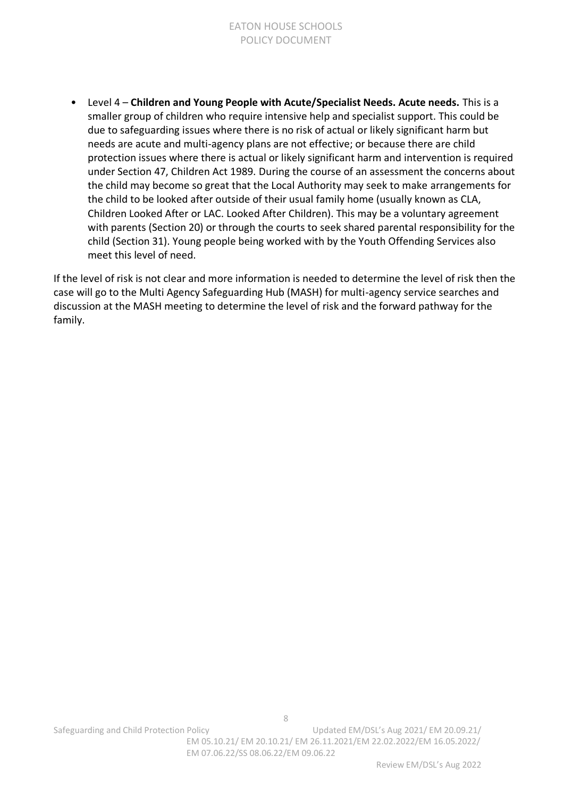• Level 4 – **Children and Young People with Acute/Specialist Needs. Acute needs.** This is a smaller group of children who require intensive help and specialist support. This could be due to safeguarding issues where there is no risk of actual or likely significant harm but needs are acute and multi-agency plans are not effective; or because there are child protection issues where there is actual or likely significant harm and intervention is required under Section 47, Children Act 1989. During the course of an assessment the concerns about the child may become so great that the Local Authority may seek to make arrangements for the child to be looked after outside of their usual family home (usually known as CLA, Children Looked After or LAC. Looked After Children). This may be a voluntary agreement with parents (Section 20) or through the courts to seek shared parental responsibility for the child (Section 31). Young people being worked with by the Youth Offending Services also meet this level of need.

If the level of risk is not clear and more information is needed to determine the level of risk then the case will go to the Multi Agency Safeguarding Hub (MASH) for multi-agency service searches and discussion at the MASH meeting to determine the level of risk and the forward pathway for the family.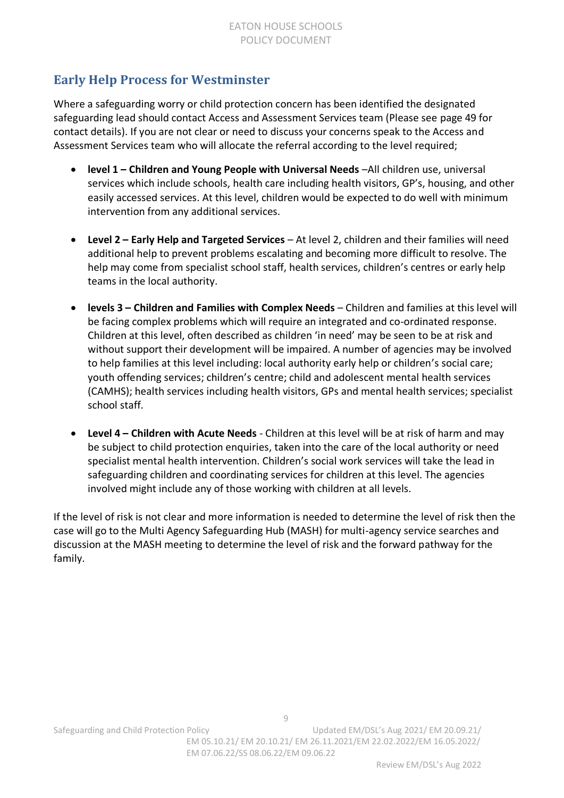### **Early Help Process for Westminster**

Where a safeguarding worry or child protection concern has been identified the designated safeguarding lead should contact Access and Assessment Services team (Please see page 49 for contact details). If you are not clear or need to discuss your concerns speak to the Access and Assessment Services team who will allocate the referral according to the level required;

- **level 1 – Children and Young People with Universal Needs** –All children use, universal services which include schools, health care including health visitors, GP's, housing, and other easily accessed services. At this level, children would be expected to do well with minimum intervention from any additional services.
- **Level 2 – Early Help and Targeted Services** At level 2, children and their families will need additional help to prevent problems escalating and becoming more difficult to resolve. The help may come from specialist school staff, health services, children's centres or early help teams in the local authority.
- **levels 3 – Children and Families with Complex Needs** Children and families at this level will be facing complex problems which will require an integrated and co-ordinated response. Children at this level, often described as children 'in need' may be seen to be at risk and without support their development will be impaired. A number of agencies may be involved to help families at this level including: local authority early help or children's social care; youth offending services; children's centre; child and adolescent mental health services (CAMHS); health services including health visitors, GPs and mental health services; specialist school staff.
- **Level 4 – Children with Acute Needs** Children at this level will be at risk of harm and may be subject to child protection enquiries, taken into the care of the local authority or need specialist mental health intervention. Children's social work services will take the lead in safeguarding children and coordinating services for children at this level. The agencies involved might include any of those working with children at all levels.

If the level of risk is not clear and more information is needed to determine the level of risk then the case will go to the Multi Agency Safeguarding Hub (MASH) for multi-agency service searches and discussion at the MASH meeting to determine the level of risk and the forward pathway for the family.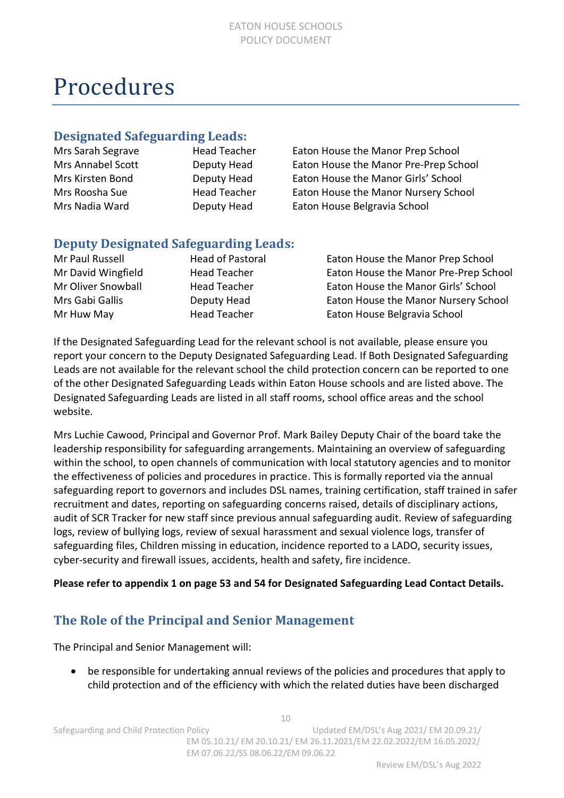### <span id="page-9-0"></span>Procedures

### **Designated Safeguarding Leads:**

| Mrs Sarah Segrave | <b>Head Teacher</b> | Eaton House the Manor Prep School     |
|-------------------|---------------------|---------------------------------------|
| Mrs Annabel Scott | Deputy Head         | Eaton House the Manor Pre-Prep School |
| Mrs Kirsten Bond  | Deputy Head         | Eaton House the Manor Girls' School   |
| Mrs Roosha Sue    | <b>Head Teacher</b> | Eaton House the Manor Nursery School  |
| Mrs Nadia Ward    | Deputy Head         | Eaton House Belgravia School          |
|                   |                     |                                       |

### **Deputy Designated Safeguarding Leads:**

| Mr Paul Russell    |  |  |
|--------------------|--|--|
| Mr David Wingfield |  |  |
| Mr Oliver Snowball |  |  |
| Mrs Gabi Gallis    |  |  |
| Mr Huw May         |  |  |

Head of Pastoral **Eaton House the Manor Prep School** Head Teacher **Eaton House the Manor Pre-Prep School** Head Teacher **Eaton House the Manor Girls' School** Deputy Head Eaton House the Manor Nursery School Head Teacher **Eaton House Belgravia School** 

If the Designated Safeguarding Lead for the relevant school is not available, please ensure you report your concern to the Deputy Designated Safeguarding Lead. If Both Designated Safeguarding Leads are not available for the relevant school the child protection concern can be reported to one of the other Designated Safeguarding Leads within Eaton House schools and are listed above. The Designated Safeguarding Leads are listed in all staff rooms, school office areas and the school website.

Mrs Luchie Cawood, Principal and Governor Prof. Mark Bailey Deputy Chair of the board take the leadership responsibility for safeguarding arrangements. Maintaining an overview of safeguarding within the school, to open channels of communication with local statutory agencies and to monitor the effectiveness of policies and procedures in practice. This is formally reported via the annual safeguarding report to governors and includes DSL names, training certification, staff trained in safer recruitment and dates, reporting on safeguarding concerns raised, details of disciplinary actions, audit of SCR Tracker for new staff since previous annual safeguarding audit. Review of safeguarding logs, review of bullying logs, review of sexual harassment and sexual violence logs, transfer of safeguarding files, Children missing in education, incidence reported to a LADO, security issues, cyber-security and firewall issues, accidents, health and safety, fire incidence.

#### **Please refer to appendix 1 on page 53 and 54 for Designated Safeguarding Lead Contact Details.**

### **The Role of the Principal and Senior Management**

The Principal and Senior Management will:

• be responsible for undertaking annual reviews of the policies and procedures that apply to child protection and of the efficiency with which the related duties have been discharged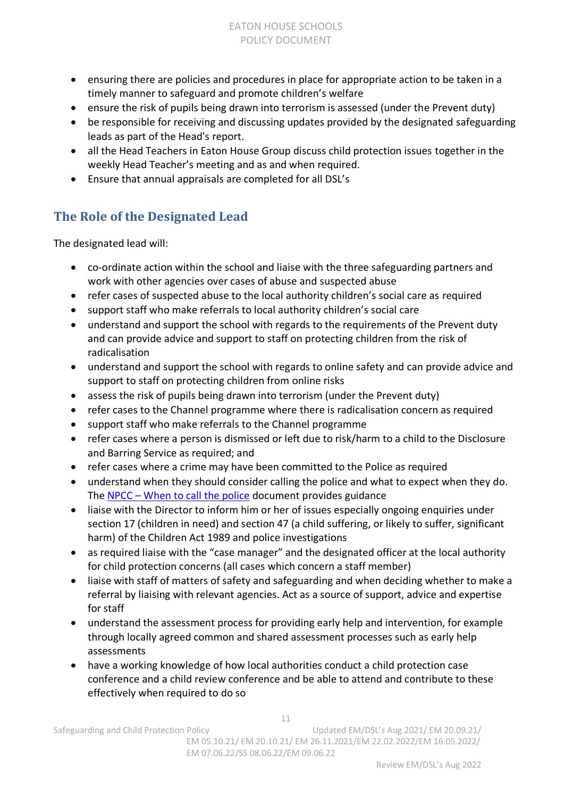- ensuring there are policies and procedures in place for appropriate action to be taken in a timely manner to safeguard and promote children's welfare
- ensure the risk of pupils being drawn into terrorism is assessed (under the Prevent duty)
- be responsible for receiving and discussing updates provided by the designated safeguarding leads as part of the Head's report.
- all the Head Teachers in Eaton House Group discuss child protection issues together in the weekly Head Teacher's meeting and as and when required.
- Ensure that annual appraisals are completed for all DSL's

### **The Role of the Designated Lead**

The designated lead will:

- co-ordinate action within the school and liaise with the three safeguarding partners and work with other agencies over cases of abuse and suspected abuse
- refer cases of suspected abuse to the local authority children's social care as required
- support staff who make referrals to local authority children's social care
- understand and support the school with regards to the requirements of the Prevent duty and can provide advice and support to staff on protecting children from the risk of radicalisation
- understand and support the school with regards to online safety and can provide advice and support to staff on protecting children from online risks
- assess the risk of pupils being drawn into terrorism (under the Prevent duty)
- refer cases to the Channel programme where there is radicalisation concern as required
- support staff who make referrals to the Channel programme
- refer cases where a person is dismissed or left due to risk/harm to a child to the Disclosure and Barring Service as required; and
- refer cases where a crime may have been committed to the Police as required
- understand when they should consider calling the police and what to expect when they do. The NPCC – [When to call the police](https://www.npcc.police.uk/documents/Children%20and%20Young%20people/When%20to%20call%20the%20police%20guidance%20for%20schools%20and%20colleges.pdf) document provides guidance
- liaise with the Director to inform him or her of issues especially ongoing enquiries under section 17 (children in need) and section 47 (a child suffering, or likely to suffer, significant harm) of the Children Act 1989 and police investigations
- as required liaise with the "case manager" and the designated officer at the local authority for child protection concerns (all cases which concern a staff member)
- liaise with staff of matters of safety and safeguarding and when deciding whether to make a referral by liaising with relevant agencies. Act as a source of support, advice and expertise for staff
- understand the assessment process for providing early help and intervention, for example through locally agreed common and shared assessment processes such as early help assessments
- have a working knowledge of how local authorities conduct a child protection case conference and a child review conference and be able to attend and contribute to these effectively when required to do so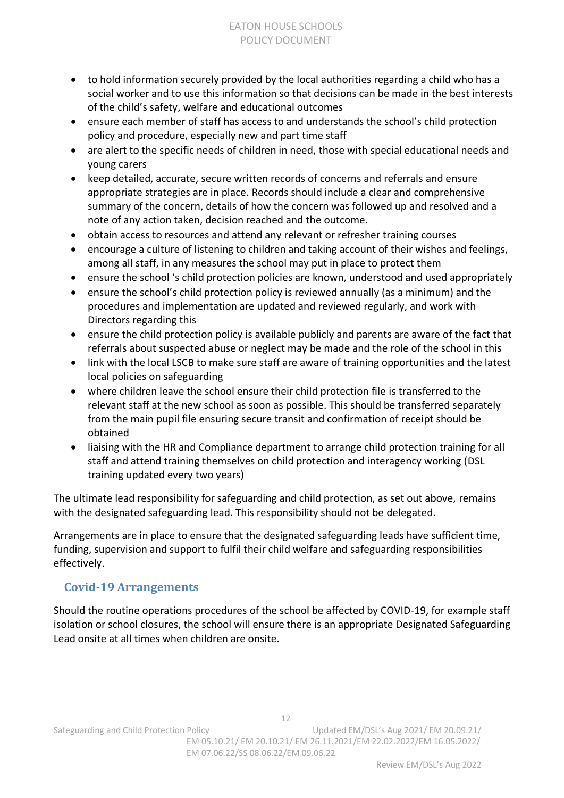- to hold information securely provided by the local authorities regarding a child who has a social worker and to use this information so that decisions can be made in the best interests of the child's safety, welfare and educational outcomes
- ensure each member of staff has access to and understands the school's child protection policy and procedure, especially new and part time staff
- are alert to the specific needs of children in need, those with special educational needs and young carers
- keep detailed, accurate, secure written records of concerns and referrals and ensure appropriate strategies are in place. Records should include a clear and comprehensive summary of the concern, details of how the concern was followed up and resolved and a note of any action taken, decision reached and the outcome.
- obtain access to resources and attend any relevant or refresher training courses
- encourage a culture of listening to children and taking account of their wishes and feelings, among all staff, in any measures the school may put in place to protect them
- ensure the school 's child protection policies are known, understood and used appropriately
- ensure the school's child protection policy is reviewed annually (as a minimum) and the procedures and implementation are updated and reviewed regularly, and work with Directors regarding this
- ensure the child protection policy is available publicly and parents are aware of the fact that referrals about suspected abuse or neglect may be made and the role of the school in this
- link with the local LSCB to make sure staff are aware of training opportunities and the latest local policies on safeguarding
- where children leave the school ensure their child protection file is transferred to the relevant staff at the new school as soon as possible. This should be transferred separately from the main pupil file ensuring secure transit and confirmation of receipt should be obtained
- liaising with the HR and Compliance department to arrange child protection training for all staff and attend training themselves on child protection and interagency working (DSL training updated every two years)

The ultimate lead responsibility for safeguarding and child protection, as set out above, remains with the designated safeguarding lead. This responsibility should not be delegated.

Arrangements are in place to ensure that the designated safeguarding leads have sufficient time, funding, supervision and support to fulfil their child welfare and safeguarding responsibilities effectively.

### **Covid-19 Arrangements**

Should the routine operations procedures of the school be affected by COVID-19, for example staff isolation or school closures, the school will ensure there is an appropriate Designated Safeguarding Lead onsite at all times when children are onsite.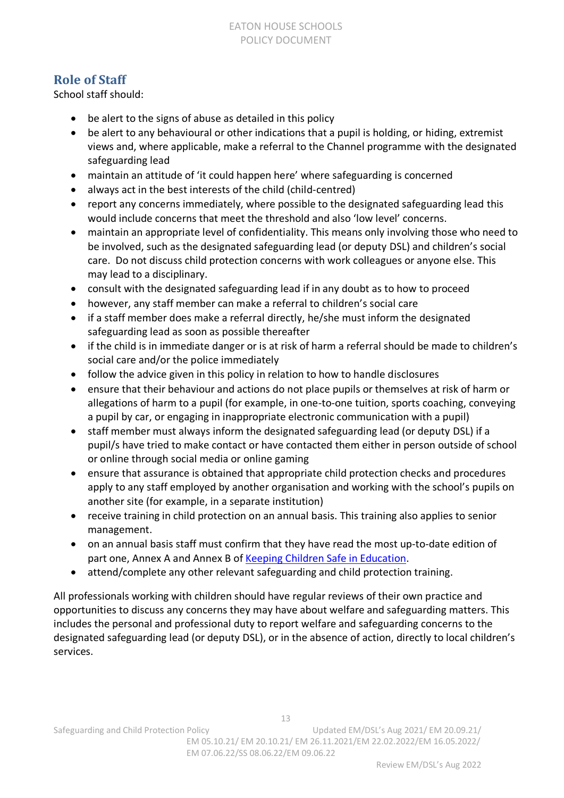### **Role of Staff**

School staff should:

- be alert to the signs of abuse as detailed in this policy
- be alert to any behavioural or other indications that a pupil is holding, or hiding, extremist views and, where applicable, make a referral to the Channel programme with the designated safeguarding lead
- maintain an attitude of 'it could happen here' where safeguarding is concerned
- always act in the best interests of the child (child-centred)
- report any concerns immediately, where possible to the designated safeguarding lead this would include concerns that meet the threshold and also 'low level' concerns.
- maintain an appropriate level of confidentiality. This means only involving those who need to be involved, such as the designated safeguarding lead (or deputy DSL) and children's social care. Do not discuss child protection concerns with work colleagues or anyone else. This may lead to a disciplinary.
- consult with the designated safeguarding lead if in any doubt as to how to proceed
- however, any staff member can make a referral to children's social care
- if a staff member does make a referral directly, he/she must inform the designated safeguarding lead as soon as possible thereafter
- if the child is in immediate danger or is at risk of harm a referral should be made to children's social care and/or the police immediately
- follow the advice given in this policy in relation to how to handle disclosures
- ensure that their behaviour and actions do not place pupils or themselves at risk of harm or allegations of harm to a pupil (for example, in one-to-one tuition, sports coaching, conveying a pupil by car, or engaging in inappropriate electronic communication with a pupil)
- staff member must always inform the designated safeguarding lead (or deputy DSL) if a pupil/s have tried to make contact or have contacted them either in person outside of school or online through social media or online gaming
- ensure that assurance is obtained that appropriate child protection checks and procedures apply to any staff employed by another organisation and working with the school's pupils on another site (for example, in a separate institution)
- receive training in child protection on an annual basis. This training also applies to senior management.
- on an annual basis staff must confirm that they have read the most up-to-date edition of part one, Annex A and Annex B of [Keeping Children Safe in Education.](https://assets.publishing.service.gov.uk/government/uploads/system/uploads/attachment_data/file/1021914/KCSIE_2021_September_guidance.pdf)
- attend/complete any other relevant safeguarding and child protection training.

All professionals working with children should have regular reviews of their own practice and opportunities to discuss any concerns they may have about welfare and safeguarding matters. This includes the personal and professional duty to report welfare and safeguarding concerns to the designated safeguarding lead (or deputy DSL), or in the absence of action, directly to local children's services.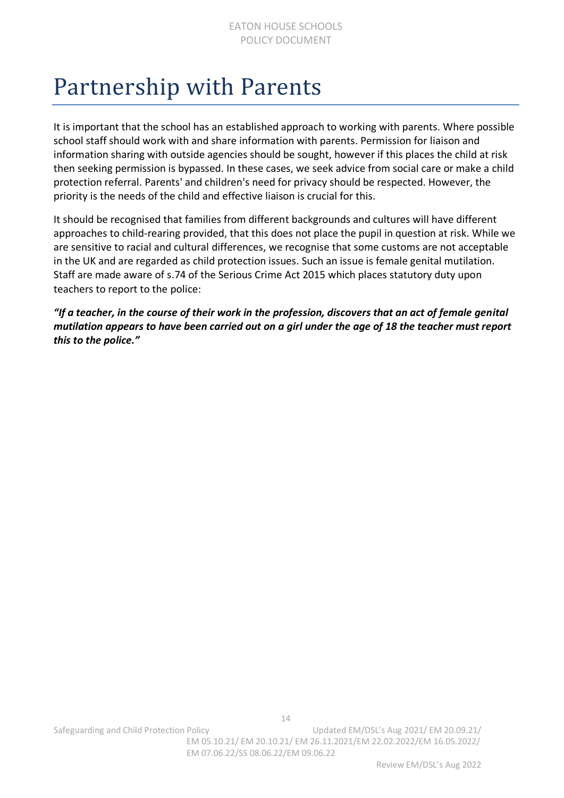### <span id="page-13-0"></span>Partnership with Parents

It is important that the school has an established approach to working with parents. Where possible school staff should work with and share information with parents. Permission for liaison and information sharing with outside agencies should be sought, however if this places the child at risk then seeking permission is bypassed. In these cases, we seek advice from social care or make a child protection referral. Parents' and children's need for privacy should be respected. However, the priority is the needs of the child and effective liaison is crucial for this.

It should be recognised that families from different backgrounds and cultures will have different approaches to child-rearing provided, that this does not place the pupil in question at risk. While we are sensitive to racial and cultural differences, we recognise that some customs are not acceptable in the UK and are regarded as child protection issues. Such an issue is female genital mutilation. Staff are made aware of s.74 of the Serious Crime Act 2015 which places statutory duty upon teachers to report to the police:

*"If a teacher, in the course of their work in the profession, discovers that an act of female genital mutilation appears to have been carried out on a girl under the age of 18 the teacher must report this to the police."*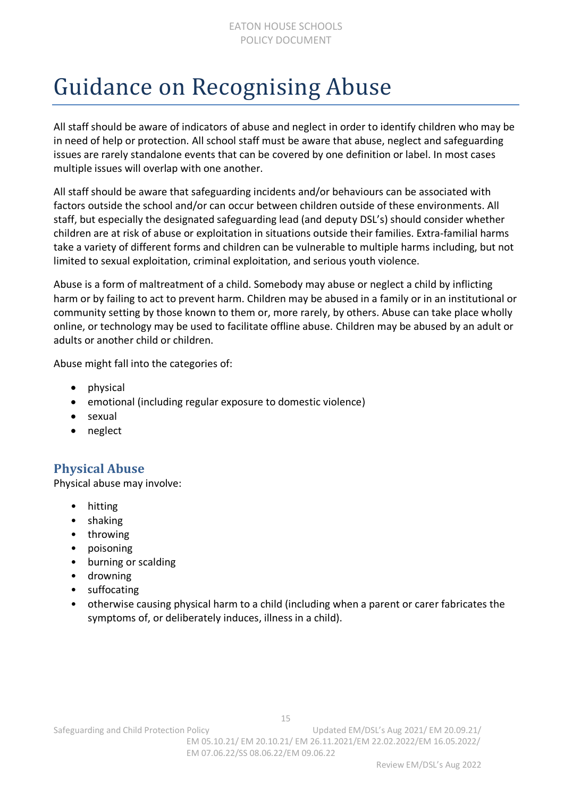### <span id="page-14-0"></span>Guidance on Recognising Abuse

All staff should be aware of indicators of abuse and neglect in order to identify children who may be in need of help or protection. All school staff must be aware that abuse, neglect and safeguarding issues are rarely standalone events that can be covered by one definition or label. In most cases multiple issues will overlap with one another.

All staff should be aware that safeguarding incidents and/or behaviours can be associated with factors outside the school and/or can occur between children outside of these environments. All staff, but especially the designated safeguarding lead (and deputy DSL's) should consider whether children are at risk of abuse or exploitation in situations outside their families. Extra-familial harms take a variety of different forms and children can be vulnerable to multiple harms including, but not limited to sexual exploitation, criminal exploitation, and serious youth violence.

Abuse is a form of maltreatment of a child. Somebody may abuse or neglect a child by inflicting harm or by failing to act to prevent harm. Children may be abused in a family or in an institutional or community setting by those known to them or, more rarely, by others. Abuse can take place wholly online, or technology may be used to facilitate offline abuse. Children may be abused by an adult or adults or another child or children.

Abuse might fall into the categories of:

- physical
- emotional (including regular exposure to domestic violence)
- sexual
- neglect

### **Physical Abuse**

Physical abuse may involve:

- hitting
- shaking
- throwing
- poisoning
- burning or scalding
- drowning
- suffocating
- otherwise causing physical harm to a child (including when a parent or carer fabricates the symptoms of, or deliberately induces, illness in a child).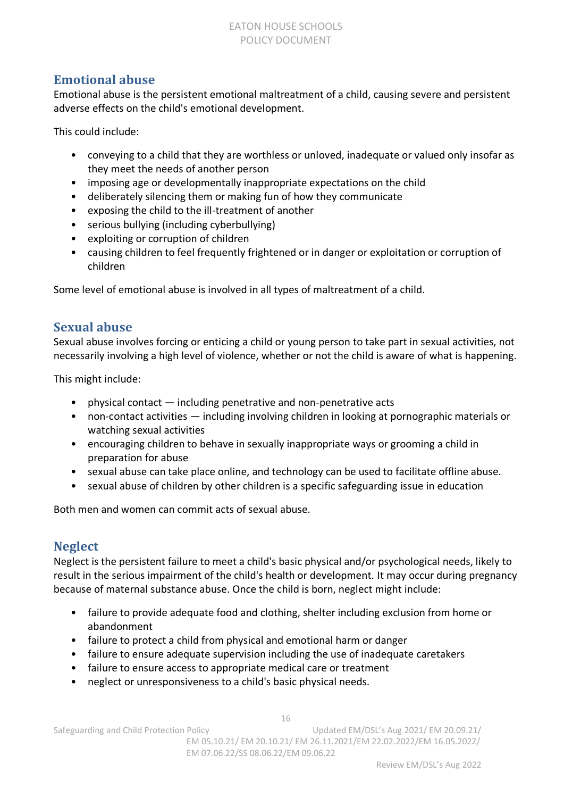#### EATON HOUSE SCHOOLS POLICY DOCUMENT

### **Emotional abuse**

Emotional abuse is the persistent emotional maltreatment of a child, causing severe and persistent adverse effects on the child's emotional development.

This could include:

- conveying to a child that they are worthless or unloved, inadequate or valued only insofar as they meet the needs of another person
- imposing age or developmentally inappropriate expectations on the child
- deliberately silencing them or making fun of how they communicate
- exposing the child to the ill-treatment of another
- serious bullying (including cyberbullying)
- exploiting or corruption of children
- causing children to feel frequently frightened or in danger or exploitation or corruption of children

Some level of emotional abuse is involved in all types of maltreatment of a child.

### **Sexual abuse**

Sexual abuse involves forcing or enticing a child or young person to take part in sexual activities, not necessarily involving a high level of violence, whether or not the child is aware of what is happening.

This might include:

- physical contact including penetrative and non-penetrative acts
- non-contact activities  $-$  including involving children in looking at pornographic materials or watching sexual activities
- encouraging children to behave in sexually inappropriate ways or grooming a child in preparation for abuse
- sexual abuse can take place online, and technology can be used to facilitate offline abuse.
- sexual abuse of children by other children is a specific safeguarding issue in education

Both men and women can commit acts of sexual abuse.

### **Neglect**

Neglect is the persistent failure to meet a child's basic physical and/or psychological needs, likely to result in the serious impairment of the child's health or development. It may occur during pregnancy because of maternal substance abuse. Once the child is born, neglect might include:

- failure to provide adequate food and clothing, shelter including exclusion from home or abandonment
- failure to protect a child from physical and emotional harm or danger
- failure to ensure adequate supervision including the use of inadequate caretakers
- failure to ensure access to appropriate medical care or treatment
- neglect or unresponsiveness to a child's basic physical needs.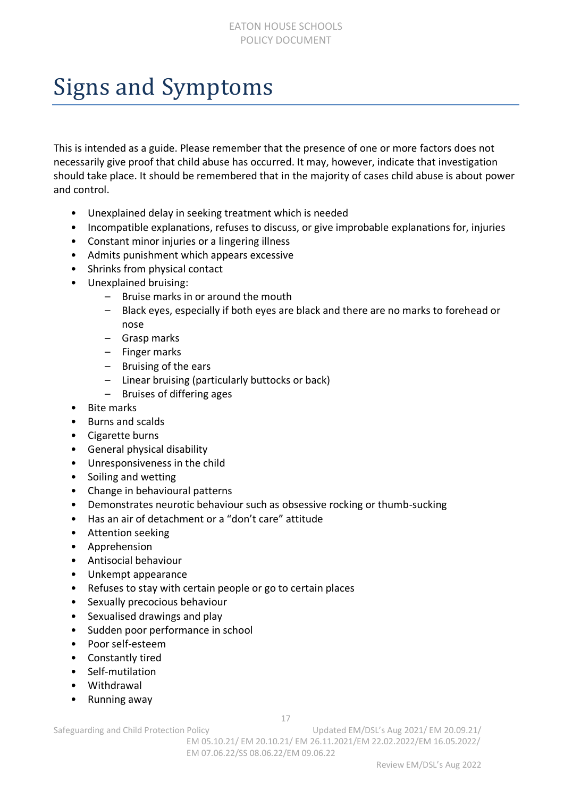### <span id="page-16-0"></span>Signs and Symptoms

This is intended as a guide. Please remember that the presence of one or more factors does not necessarily give proof that child abuse has occurred. It may, however, indicate that investigation should take place. It should be remembered that in the majority of cases child abuse is about power and control.

- Unexplained delay in seeking treatment which is needed
- Incompatible explanations, refuses to discuss, or give improbable explanations for, injuries
- Constant minor injuries or a lingering illness
- Admits punishment which appears excessive
- Shrinks from physical contact
- Unexplained bruising:
	- Bruise marks in or around the mouth
	- Black eyes, especially if both eyes are black and there are no marks to forehead or nose
	- Grasp marks
	- Finger marks
	- Bruising of the ears
	- Linear bruising (particularly buttocks or back)
	- Bruises of differing ages
- Bite marks
- Burns and scalds
- Cigarette burns
- General physical disability
- Unresponsiveness in the child
- Soiling and wetting
- Change in behavioural patterns
- Demonstrates neurotic behaviour such as obsessive rocking or thumb-sucking
- Has an air of detachment or a "don't care" attitude
- Attention seeking
- Apprehension
- Antisocial behaviour
- Unkempt appearance
- Refuses to stay with certain people or go to certain places
- Sexually precocious behaviour
- Sexualised drawings and play
- Sudden poor performance in school
- Poor self-esteem
- Constantly tired
- Self-mutilation
- Withdrawal
- Running away

17

Safeguarding and Child Protection Policy Child Washington Updated EM/DSL's Aug 2021/ EM 20.09.21/ EM 05.10.21/ EM 20.10.21/ EM 26.11.2021/EM 22.02.2022/EM 16.05.2022/ EM 07.06.22/SS 08.06.22/EM 09.06.22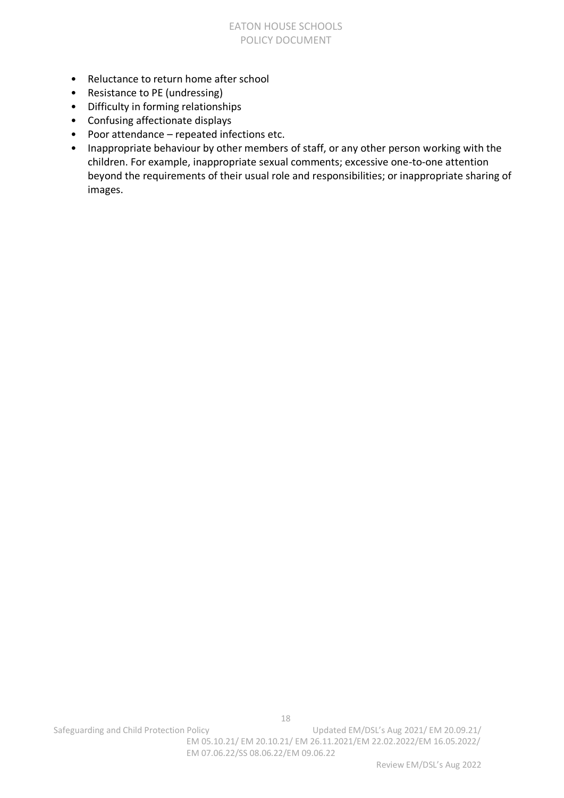#### EATON HOUSE SCHOOLS POLICY DOCUMENT

- Reluctance to return home after school
- Resistance to PE (undressing)
- Difficulty in forming relationships
- Confusing affectionate displays
- Poor attendance repeated infections etc.
- Inappropriate behaviour by other members of staff, or any other person working with the children. For example, inappropriate sexual comments; excessive one-to-one attention beyond the requirements of their usual role and responsibilities; or inappropriate sharing of images.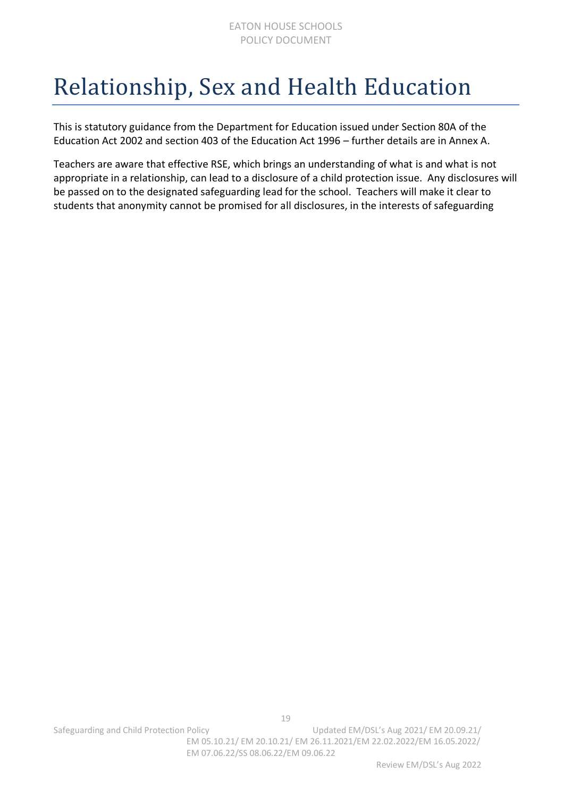### <span id="page-18-0"></span>Relationship, Sex and Health Education

This is statutory guidance from the Department for Education issued under Section 80A of the Education Act 2002 and section 403 of the Education Act 1996 – further details are in Annex A.

Teachers are aware that effective RSE, which brings an understanding of what is and what is not appropriate in a relationship, can lead to a disclosure of a child protection issue. Any disclosures will be passed on to the designated safeguarding lead for the school. Teachers will make it clear to students that anonymity cannot be promised for all disclosures, in the interests of safeguarding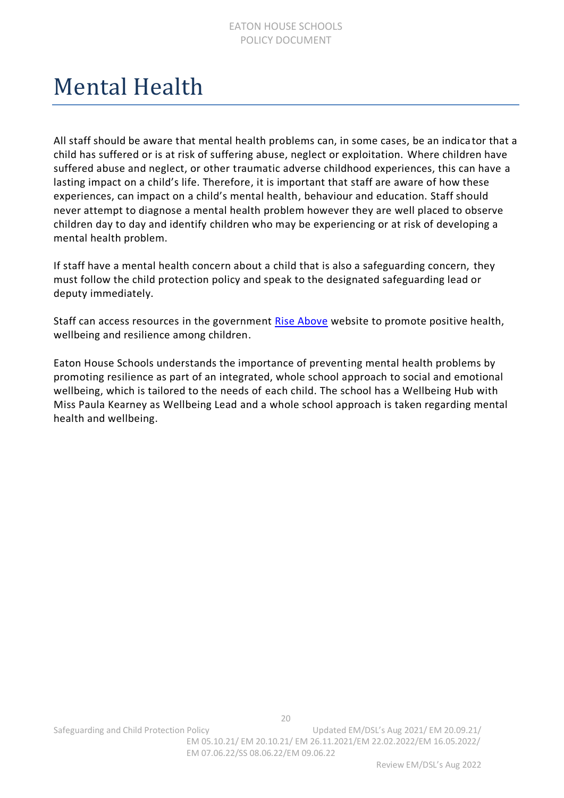### <span id="page-19-0"></span>Mental Health

All staff should be aware that mental health problems can, in some cases, be an indica tor that a child has suffered or is at risk of suffering abuse, neglect or exploitation. Where children have suffered abuse and neglect, or other traumatic adverse childhood experiences, this can have a lasting impact on a child's life. Therefore, it is important that staff are aware of how these experiences, can impact on a child's mental health, behaviour and education. Staff should never attempt to diagnose a mental health problem however they are well placed to observe children day to day and identify children who may be experiencing or at risk of developing a mental health problem.

If staff have a mental health concern about a child that is also a safeguarding concern, they must follow the child protection policy and speak to the designated safeguarding lead or deputy immediately.

Staff can access resources in the government [Rise Above](https://campaignresources.phe.gov.uk/schools/topics/mental-wellbeing/overview) website to promote positive health, wellbeing and resilience among children.

Eaton House Schools understands the importance of preventing mental health problems by promoting resilience as part of an integrated, whole school approach to social and emotional wellbeing, which is tailored to the needs of each child. The school has a Wellbeing Hub with Miss Paula Kearney as Wellbeing Lead and a whole school approach is taken regarding mental health and wellbeing.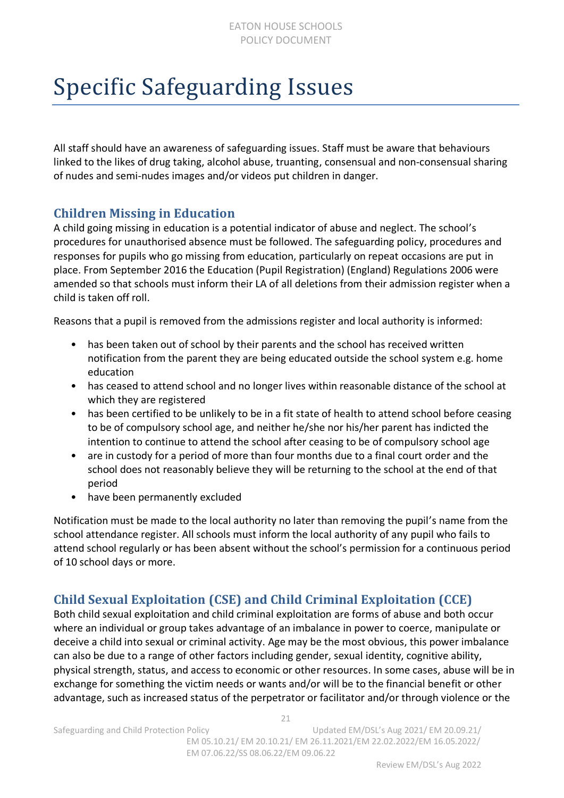### <span id="page-20-0"></span>Specific Safeguarding Issues

All staff should have an awareness of safeguarding issues. Staff must be aware that behaviours linked to the likes of drug taking, alcohol abuse, truanting, consensual and non-consensual sharing of nudes and semi-nudes images and/or videos put children in danger.

### **Children Missing in Education**

A child going missing in education is a potential indicator of abuse and neglect. The school's procedures for unauthorised absence must be followed. The safeguarding policy, procedures and responses for pupils who go missing from education, particularly on repeat occasions are put in place. From September 2016 the Education (Pupil Registration) (England) Regulations 2006 were amended so that schools must inform their LA of all deletions from their admission register when a child is taken off roll.

Reasons that a pupil is removed from the admissions register and local authority is informed:

- has been taken out of school by their parents and the school has received written notification from the parent they are being educated outside the school system e.g. home education
- has ceased to attend school and no longer lives within reasonable distance of the school at which they are registered
- has been certified to be unlikely to be in a fit state of health to attend school before ceasing to be of compulsory school age, and neither he/she nor his/her parent has indicted the intention to continue to attend the school after ceasing to be of compulsory school age
- are in custody for a period of more than four months due to a final court order and the school does not reasonably believe they will be returning to the school at the end of that period
- have been permanently excluded

Notification must be made to the local authority no later than removing the pupil's name from the school attendance register. All schools must inform the local authority of any pupil who fails to attend school regularly or has been absent without the school's permission for a continuous period of 10 school days or more.

### **Child Sexual Exploitation (CSE) and Child Criminal Exploitation (CCE)**

Both child sexual exploitation and child criminal exploitation are forms of abuse and both occur where an individual or group takes advantage of an imbalance in power to coerce, manipulate or deceive a child into sexual or criminal activity. Age may be the most obvious, this power imbalance can also be due to a range of other factors including gender, sexual identity, cognitive ability, physical strength, status, and access to economic or other resources. In some cases, abuse will be in exchange for something the victim needs or wants and/or will be to the financial benefit or other advantage, such as increased status of the perpetrator or facilitator and/or through violence or the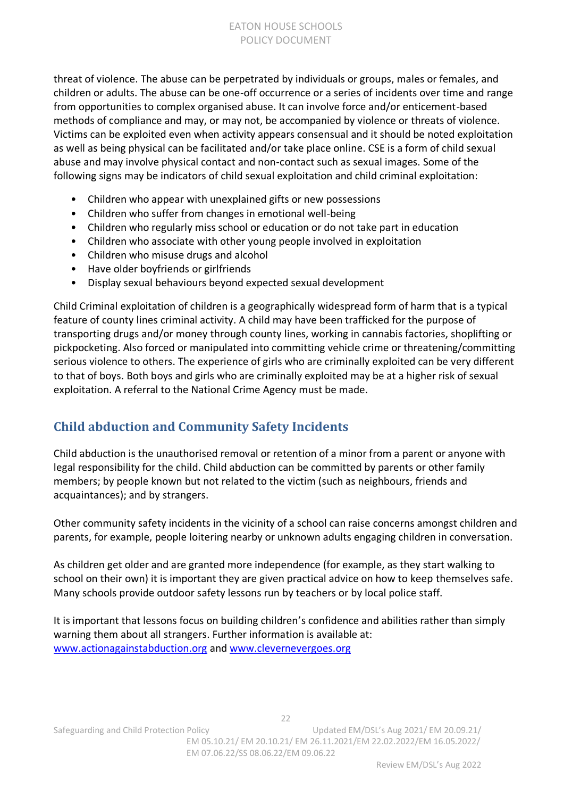threat of violence. The abuse can be perpetrated by individuals or groups, males or females, and children or adults. The abuse can be one-off occurrence or a series of incidents over time and range from opportunities to complex organised abuse. It can involve force and/or enticement-based methods of compliance and may, or may not, be accompanied by violence or threats of violence. Victims can be exploited even when activity appears consensual and it should be noted exploitation as well as being physical can be facilitated and/or take place online. CSE is a form of child sexual abuse and may involve physical contact and non-contact such as sexual images. Some of the following signs may be indicators of child sexual exploitation and child criminal exploitation:

- Children who appear with unexplained gifts or new possessions
- Children who suffer from changes in emotional well-being
- Children who regularly miss school or education or do not take part in education
- Children who associate with other young people involved in exploitation
- Children who misuse drugs and alcohol
- Have older boyfriends or girlfriends
- Display sexual behaviours beyond expected sexual development

Child Criminal exploitation of children is a geographically widespread form of harm that is a typical feature of county lines criminal activity. A child may have been trafficked for the purpose of transporting drugs and/or money through county lines, working in cannabis factories, shoplifting or pickpocketing. Also forced or manipulated into committing vehicle crime or threatening/committing serious violence to others. The experience of girls who are criminally exploited can be very different to that of boys. Both boys and girls who are criminally exploited may be at a higher risk of sexual exploitation. A referral to the National Crime Agency must be made.

### **Child abduction and Community Safety Incidents**

Child abduction is the unauthorised removal or retention of a minor from a parent or anyone with legal responsibility for the child. Child abduction can be committed by parents or other family members; by people known but not related to the victim (such as neighbours, friends and acquaintances); and by strangers.

Other community safety incidents in the vicinity of a school can raise concerns amongst children and parents, for example, people loitering nearby or unknown adults engaging children in conversation.

As children get older and are granted more independence (for example, as they start walking to school on their own) it is important they are given practical advice on how to keep themselves safe. Many schools provide outdoor safety lessons run by teachers or by local police staff.

It is important that lessons focus on building children's confidence and abilities rather than simply warning them about all strangers. Further information is available at: [www.actionagainstabduction.org](http://www.actionagainstabduction.org/) and [www.clevernevergoes.org](http://www.clevernevergoes.org/)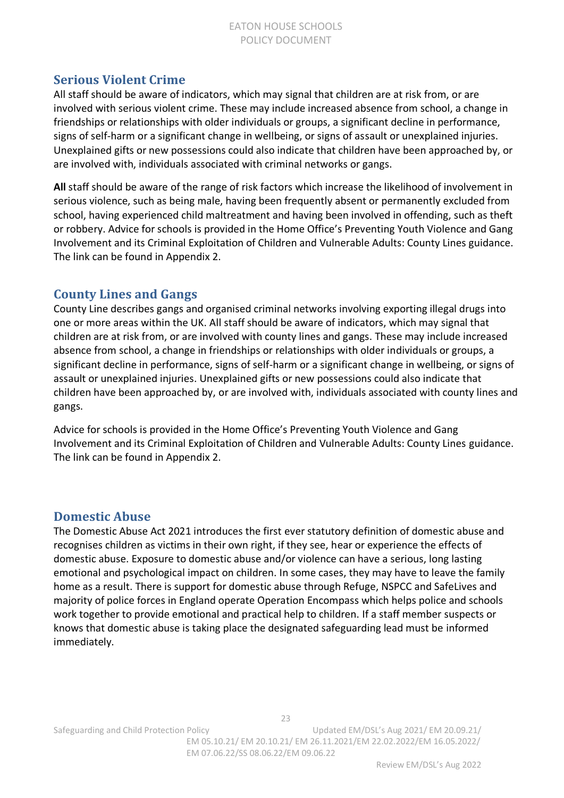#### EATON HOUSE SCHOOLS POLICY DOCUMENT

### **Serious Violent Crime**

All staff should be aware of indicators, which may signal that children are at risk from, or are involved with serious violent crime. These may include increased absence from school, a change in friendships or relationships with older individuals or groups, a significant decline in performance, signs of self-harm or a significant change in wellbeing, or signs of assault or unexplained injuries. Unexplained gifts or new possessions could also indicate that children have been approached by, or are involved with, individuals associated with criminal networks or gangs.

**All** staff should be aware of the range of risk factors which increase the likelihood of involvement in serious violence, such as being male, having been frequently absent or permanently excluded from school, having experienced child maltreatment and having been involved in offending, such as theft or robbery. Advice for schools is provided in the Home Office's Preventing Youth Violence and Gang Involvement and its Criminal Exploitation of Children and Vulnerable Adults: County Lines guidance. The link can be found in Appendix 2.

### **County Lines and Gangs**

County Line describes gangs and organised criminal networks involving exporting illegal drugs into one or more areas within the UK. All staff should be aware of indicators, which may signal that children are at risk from, or are involved with county lines and gangs. These may include increased absence from school, a change in friendships or relationships with older individuals or groups, a significant decline in performance, signs of self-harm or a significant change in wellbeing, or signs of assault or unexplained injuries. Unexplained gifts or new possessions could also indicate that children have been approached by, or are involved with, individuals associated with county lines and gangs.

Advice for schools is provided in the Home Office's Preventing Youth Violence and Gang Involvement and its Criminal Exploitation of Children and Vulnerable Adults: County Lines guidance. The link can be found in Appendix 2.

#### **Domestic Abuse**

The Domestic Abuse Act 2021 introduces the first ever statutory definition of domestic abuse and recognises children as victims in their own right, if they see, hear or experience the effects of domestic abuse. Exposure to domestic abuse and/or violence can have a serious, long lasting emotional and psychological impact on children. In some cases, they may have to leave the family home as a result. There is support for domestic abuse through Refuge, NSPCC and SafeLives and majority of police forces in England operate Operation Encompass which helps police and schools work together to provide emotional and practical help to children. If a staff member suspects or knows that domestic abuse is taking place the designated safeguarding lead must be informed immediately.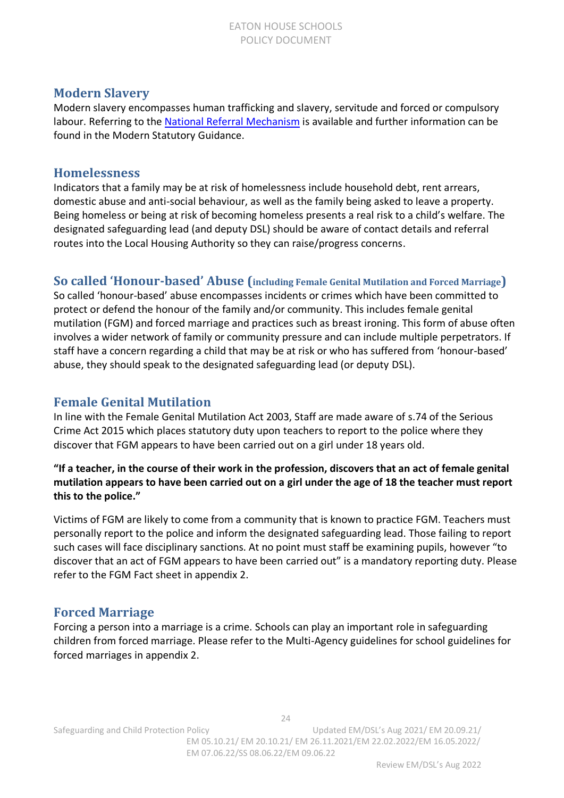### **Modern Slavery**

Modern slavery encompasses human trafficking and slavery, servitude and forced or compulsory labour. Referring to the [National Referral Mechanism](https://www.modernslavery.gov.uk/start?hof-cookie-check) is available and further information can be found in the Modern Statutory Guidance.

#### **Homelessness**

Indicators that a family may be at risk of homelessness include household debt, rent arrears, domestic abuse and anti-social behaviour, as well as the family being asked to leave a property. Being homeless or being at risk of becoming homeless presents a real risk to a child's welfare. The designated safeguarding lead (and deputy DSL) should be aware of contact details and referral routes into the Local Housing Authority so they can raise/progress concerns.

**So called 'Honour-based' Abuse (including Female Genital Mutilation and Forced Marriage)**

So called 'honour-based' abuse encompasses incidents or crimes which have been committed to protect or defend the honour of the family and/or community. This includes female genital mutilation (FGM) and forced marriage and practices such as breast ironing. This form of abuse often involves a wider network of family or community pressure and can include multiple perpetrators. If staff have a concern regarding a child that may be at risk or who has suffered from 'honour-based' abuse, they should speak to the designated safeguarding lead (or deputy DSL).

### **Female Genital Mutilation**

In line with the Female Genital Mutilation Act 2003, Staff are made aware of s.74 of the Serious Crime Act 2015 which places statutory duty upon teachers to report to the police where they discover that FGM appears to have been carried out on a girl under 18 years old.

#### **"If a teacher, in the course of their work in the profession, discovers that an act of female genital mutilation appears to have been carried out on a girl under the age of 18 the teacher must report this to the police."**

Victims of FGM are likely to come from a community that is known to practice FGM. Teachers must personally report to the police and inform the designated safeguarding lead. Those failing to report such cases will face disciplinary sanctions. At no point must staff be examining pupils, however "to discover that an act of FGM appears to have been carried out" is a mandatory reporting duty. Please refer to the FGM Fact sheet in appendix 2.

### **Forced Marriage**

Forcing a person into a marriage is a crime. Schools can play an important role in safeguarding children from forced marriage. Please refer to the Multi-Agency guidelines for school guidelines for forced marriages in appendix 2.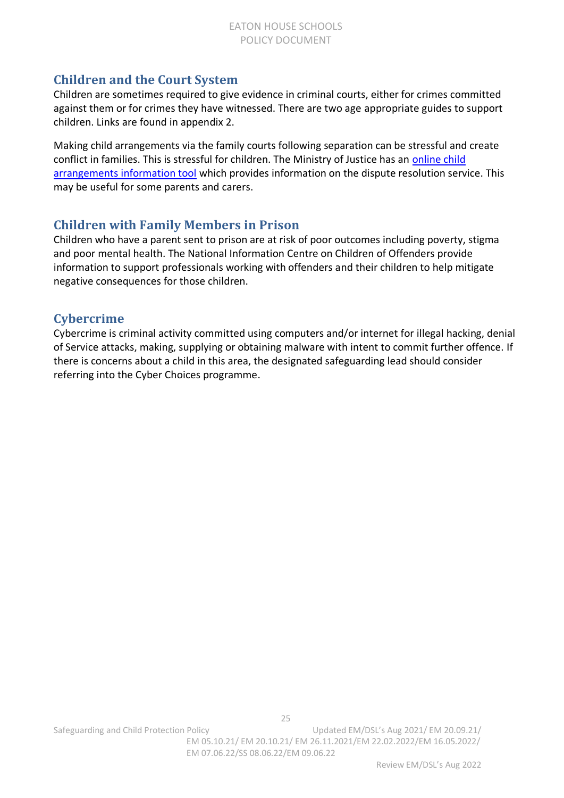### **Children and the Court System**

Children are sometimes required to give evidence in criminal courts, either for crimes committed against them or for crimes they have witnessed. There are two age appropriate guides to support children. Links are found in appendix 2.

Making child arrangements via the family courts following separation can be stressful and create conflict in families. This is stressful for children. The Ministry of Justice has an [online child](https://helpwithchildarrangements.service.justice.gov.uk/)  [arrangements information tool](https://helpwithchildarrangements.service.justice.gov.uk/) which provides information on the dispute resolution service. This may be useful for some parents and carers.

### **Children with Family Members in Prison**

Children who have a parent sent to prison are at risk of poor outcomes including poverty, stigma and poor mental health. The National Information Centre on Children of Offenders provide information to support professionals working with offenders and their children to help mitigate negative consequences for those children.

### **Cybercrime**

Cybercrime is criminal activity committed using computers and/or internet for illegal hacking, denial of Service attacks, making, supplying or obtaining malware with intent to commit further offence. If there is concerns about a child in this area, the designated safeguarding lead should consider referring into the Cyber Choices programme.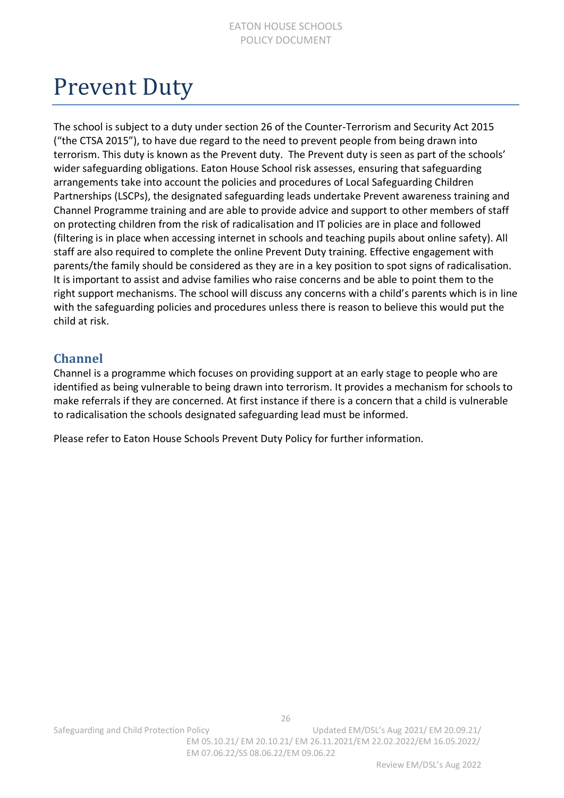### <span id="page-25-0"></span>Prevent Duty

The school is subject to a duty under section 26 of the Counter-Terrorism and Security Act 2015 ("the CTSA 2015"), to have due regard to the need to prevent people from being drawn into terrorism. This duty is known as the Prevent duty. The Prevent duty is seen as part of the schools' wider safeguarding obligations. Eaton House School risk assesses, ensuring that safeguarding arrangements take into account the policies and procedures of Local Safeguarding Children Partnerships (LSCPs), the designated safeguarding leads undertake Prevent awareness training and Channel Programme training and are able to provide advice and support to other members of staff on protecting children from the risk of radicalisation and IT policies are in place and followed (filtering is in place when accessing internet in schools and teaching pupils about online safety). All staff are also required to complete the online Prevent Duty training. Effective engagement with parents/the family should be considered as they are in a key position to spot signs of radicalisation. It is important to assist and advise families who raise concerns and be able to point them to the right support mechanisms. The school will discuss any concerns with a child's parents which is in line with the safeguarding policies and procedures unless there is reason to believe this would put the child at risk.

### **Channel**

Channel is a programme which focuses on providing support at an early stage to people who are identified as being vulnerable to being drawn into terrorism. It provides a mechanism for schools to make referrals if they are concerned. At first instance if there is a concern that a child is vulnerable to radicalisation the schools designated safeguarding lead must be informed.

Please refer to Eaton House Schools Prevent Duty Policy for further information.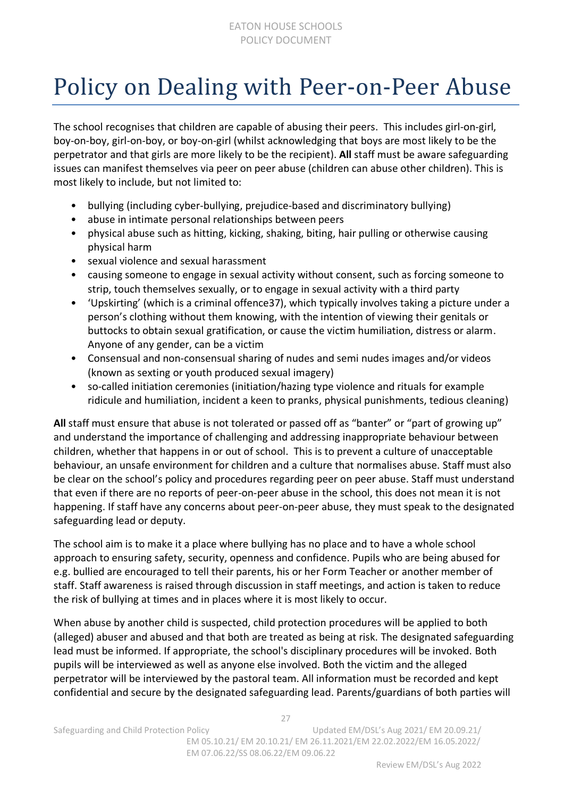### <span id="page-26-0"></span>Policy on Dealing with Peer-on-Peer Abuse

The school recognises that children are capable of abusing their peers. This includes girl-on-girl, boy-on-boy, girl-on-boy, or boy-on-girl (whilst acknowledging that boys are most likely to be the perpetrator and that girls are more likely to be the recipient). **All** staff must be aware safeguarding issues can manifest themselves via peer on peer abuse (children can abuse other children). This is most likely to include, but not limited to:

- bullying (including cyber-bullying, prejudice-based and discriminatory bullying)
- abuse in intimate personal relationships between peers
- physical abuse such as hitting, kicking, shaking, biting, hair pulling or otherwise causing physical harm
- sexual violence and sexual harassment
- causing someone to engage in sexual activity without consent, such as forcing someone to strip, touch themselves sexually, or to engage in sexual activity with a third party
- 'Upskirting' (which is a criminal offence37), which typically involves taking a picture under a person's clothing without them knowing, with the intention of viewing their genitals or buttocks to obtain sexual gratification, or cause the victim humiliation, distress or alarm. Anyone of any gender, can be a victim
- Consensual and non-consensual sharing of nudes and semi nudes images and/or videos (known as sexting or youth produced sexual imagery)
- so-called initiation ceremonies (initiation/hazing type violence and rituals for example ridicule and humiliation, incident a keen to pranks, physical punishments, tedious cleaning)

**All** staff must ensure that abuse is not tolerated or passed off as "banter" or "part of growing up" and understand the importance of challenging and addressing inappropriate behaviour between children, whether that happens in or out of school. This is to prevent a culture of unacceptable behaviour, an unsafe environment for children and a culture that normalises abuse. Staff must also be clear on the school's policy and procedures regarding peer on peer abuse. Staff must understand that even if there are no reports of peer-on-peer abuse in the school, this does not mean it is not happening. If staff have any concerns about peer-on-peer abuse, they must speak to the designated safeguarding lead or deputy.

The school aim is to make it a place where bullying has no place and to have a whole school approach to ensuring safety, security, openness and confidence. Pupils who are being abused for e.g. bullied are encouraged to tell their parents, his or her Form Teacher or another member of staff. Staff awareness is raised through discussion in staff meetings, and action is taken to reduce the risk of bullying at times and in places where it is most likely to occur.

When abuse by another child is suspected, child protection procedures will be applied to both (alleged) abuser and abused and that both are treated as being at risk. The designated safeguarding lead must be informed. If appropriate, the school's disciplinary procedures will be invoked. Both pupils will be interviewed as well as anyone else involved. Both the victim and the alleged perpetrator will be interviewed by the pastoral team. All information must be recorded and kept confidential and secure by the designated safeguarding lead. Parents/guardians of both parties will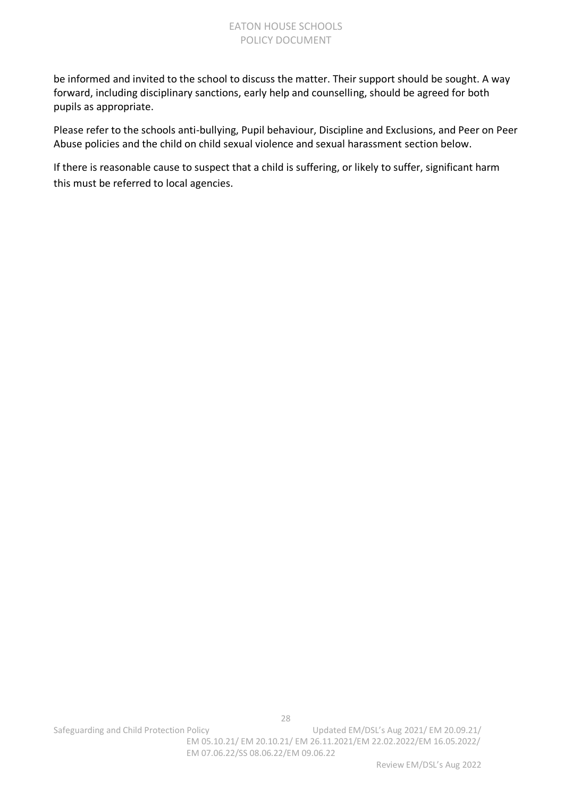#### EATON HOUSE SCHOOLS POLICY DOCUMENT

be informed and invited to the school to discuss the matter. Their support should be sought. A way forward, including disciplinary sanctions, early help and counselling, should be agreed for both pupils as appropriate.

Please refer to the schools anti-bullying, Pupil behaviour, Discipline and Exclusions, and Peer on Peer Abuse policies and the child on child sexual violence and sexual harassment section below.

If there is reasonable cause to suspect that a child is suffering, or likely to suffer, significant harm this must be referred to local agencies.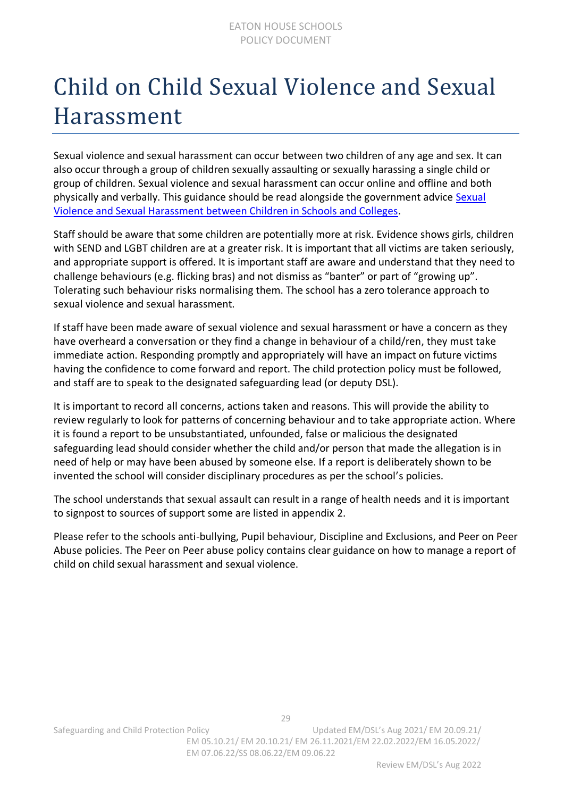### <span id="page-28-0"></span>Child on Child Sexual Violence and Sexual Harassment

Sexual violence and sexual harassment can occur between two children of any age and sex. It can also occur through a group of children sexually assaulting or sexually harassing a single child or group of children. Sexual violence and sexual harassment can occur online and offline and both physically and verbally. This guidance should be read alongside the government advice Sexual [Violence and Sexual Harassment between Children in Schools and Colleges.](https://www.gov.uk/government/publications/sexual-violence-and-sexual-harassment-between-children-in-schools-and-colleges)

Staff should be aware that some children are potentially more at risk. Evidence shows girls, children with SEND and LGBT children are at a greater risk. It is important that all victims are taken seriously, and appropriate support is offered. It is important staff are aware and understand that they need to challenge behaviours (e.g. flicking bras) and not dismiss as "banter" or part of "growing up". Tolerating such behaviour risks normalising them. The school has a zero tolerance approach to sexual violence and sexual harassment.

If staff have been made aware of sexual violence and sexual harassment or have a concern as they have overheard a conversation or they find a change in behaviour of a child/ren, they must take immediate action. Responding promptly and appropriately will have an impact on future victims having the confidence to come forward and report. The child protection policy must be followed, and staff are to speak to the designated safeguarding lead (or deputy DSL).

It is important to record all concerns, actions taken and reasons. This will provide the ability to review regularly to look for patterns of concerning behaviour and to take appropriate action. Where it is found a report to be unsubstantiated, unfounded, false or malicious the designated safeguarding lead should consider whether the child and/or person that made the allegation is in need of help or may have been abused by someone else. If a report is deliberately shown to be invented the school will consider disciplinary procedures as per the school's policies.

The school understands that sexual assault can result in a range of health needs and it is important to signpost to sources of support some are listed in appendix 2.

Please refer to the schools anti-bullying, Pupil behaviour, Discipline and Exclusions, and Peer on Peer Abuse policies. The Peer on Peer abuse policy contains clear guidance on how to manage a report of child on child sexual harassment and sexual violence.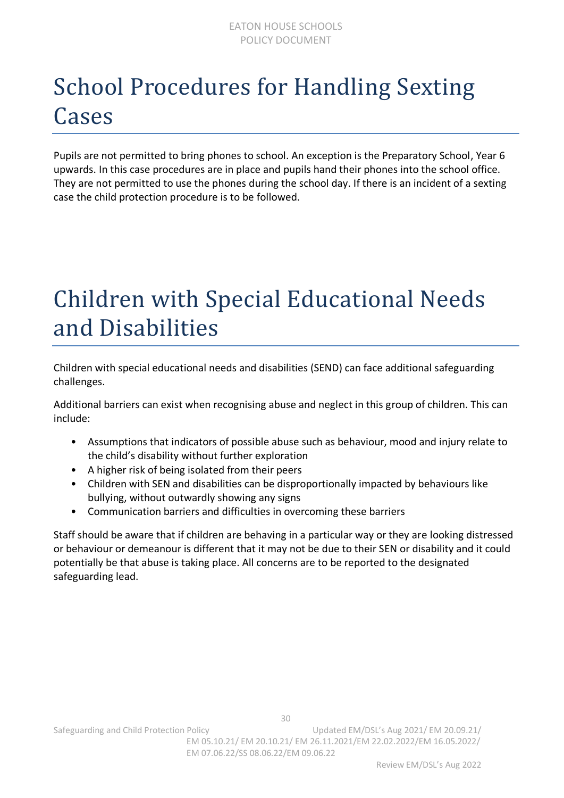### <span id="page-29-0"></span>School Procedures for Handling Sexting Cases

Pupils are not permitted to bring phones to school. An exception is the Preparatory School, Year 6 upwards. In this case procedures are in place and pupils hand their phones into the school office. They are not permitted to use the phones during the school day. If there is an incident of a sexting case the child protection procedure is to be followed.

### <span id="page-29-1"></span>Children with Special Educational Needs and Disabilities

Children with special educational needs and disabilities (SEND) can face additional safeguarding challenges.

Additional barriers can exist when recognising abuse and neglect in this group of children. This can include:

- Assumptions that indicators of possible abuse such as behaviour, mood and injury relate to the child's disability without further exploration
- A higher risk of being isolated from their peers
- Children with SEN and disabilities can be disproportionally impacted by behaviours like bullying, without outwardly showing any signs
- Communication barriers and difficulties in overcoming these barriers

Staff should be aware that if children are behaving in a particular way or they are looking distressed or behaviour or demeanour is different that it may not be due to their SEN or disability and it could potentially be that abuse is taking place. All concerns are to be reported to the designated safeguarding lead.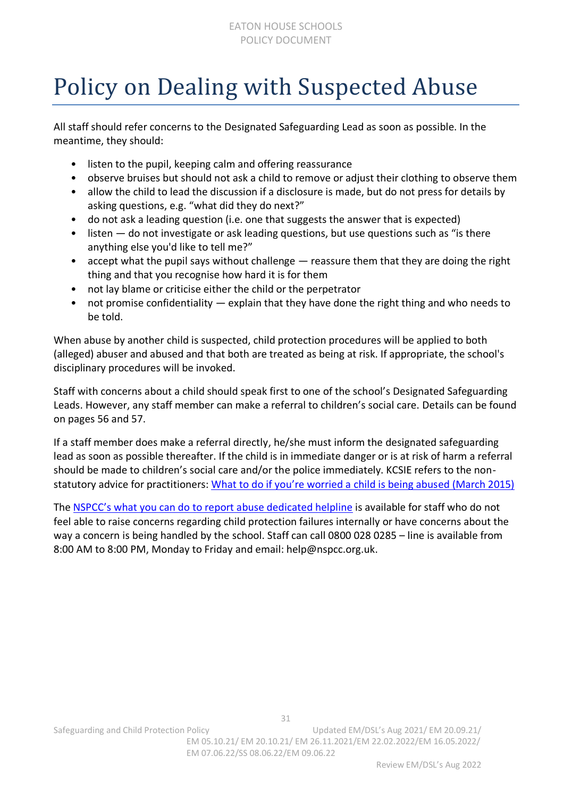### <span id="page-30-0"></span>Policy on Dealing with Suspected Abuse

All staff should refer concerns to the Designated Safeguarding Lead as soon as possible. In the meantime, they should:

- listen to the pupil, keeping calm and offering reassurance
- observe bruises but should not ask a child to remove or adjust their clothing to observe them
- allow the child to lead the discussion if a disclosure is made, but do not press for details by asking questions, e.g. "what did they do next?"
- do not ask a leading question (i.e. one that suggests the answer that is expected)
- listen do not investigate or ask leading questions, but use questions such as "is there anything else you'd like to tell me?"
- accept what the pupil says without challenge  $-$  reassure them that they are doing the right thing and that you recognise how hard it is for them
- not lay blame or criticise either the child or the perpetrator
- not promise confidentiality explain that they have done the right thing and who needs to be told.

When abuse by another child is suspected, child protection procedures will be applied to both (alleged) abuser and abused and that both are treated as being at risk. If appropriate, the school's disciplinary procedures will be invoked.

Staff with concerns about a child should speak first to one of the school's Designated Safeguarding Leads. However, any staff member can make a referral to children's social care. Details can be found on pages 56 and 57.

If a staff member does make a referral directly, he/she must inform the designated safeguarding lead as soon as possible thereafter. If the child is in immediate danger or is at risk of harm a referral should be made to children's social care and/or the police immediately. KCSIE refers to the nonstatutory advice for practitioners: [What to do if you're worried a child is being abus](https://assets.publishing.service.gov.uk/government/uploads/system/uploads/attachment_data/file/419604/What_to_do_if_you_re_worried_a_child_is_being_abused.pdf)ed (March 2015)

The [NSPCC's what you can do to report abuse dedicated helpline](https://www.nspcc.org.uk/keeping-children-safe/reporting-abuse/dedicated-helplines/whistleblowing-advice-line/) is available for staff who do not feel able to raise concerns regarding child protection failures internally or have concerns about the way a concern is being handled by the school. Staff can call 0800 028 0285 – line is available from 8:00 AM to 8:00 PM, Monday to Friday and email: help@nspcc.org.uk.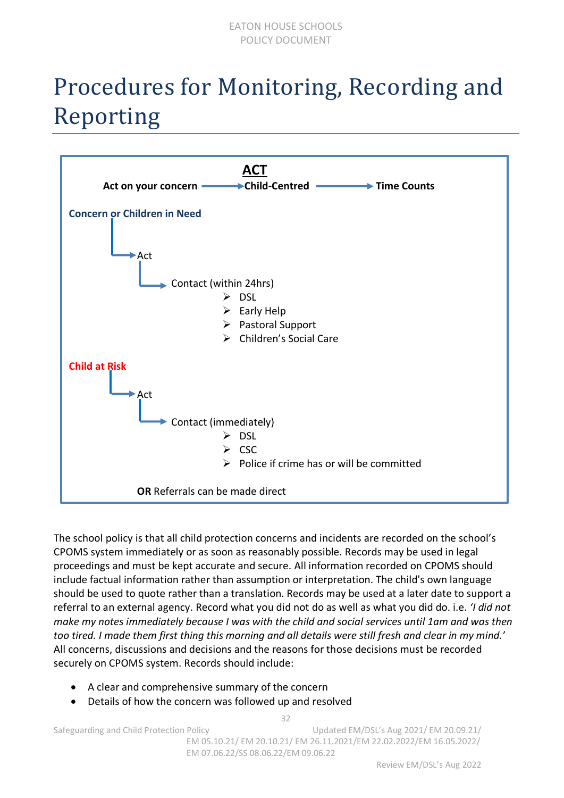### <span id="page-31-0"></span>Procedures for Monitoring, Recording and Reporting



The school policy is that all child protection concerns and incidents are recorded on the school's CPOMS system immediately or as soon as reasonably possible. Records may be used in legal proceedings and must be kept accurate and secure. All information recorded on CPOMS should include factual information rather than assumption or interpretation. The child's own language should be used to quote rather than a translation. Records may be used at a later date to support a referral to an external agency. Record what you did not do as well as what you did do. i.e. *'I did not make my notes immediately because I was with the child and social services until 1am and was then too tired. I made them first thing this morning and all details were still fresh and clear in my mind.*' All concerns, discussions and decisions and the reasons for those decisions must be recorded securely on CPOMS system. Records should include:

- A clear and comprehensive summary of the concern
- Details of how the concern was followed up and resolved

32

Safeguarding and Child Protection Policy Child Washington Updated EM/DSL's Aug 2021/ EM 20.09.21/ EM 05.10.21/ EM 20.10.21/ EM 26.11.2021/EM 22.02.2022/EM 16.05.2022/ EM 07.06.22/SS 08.06.22/EM 09.06.22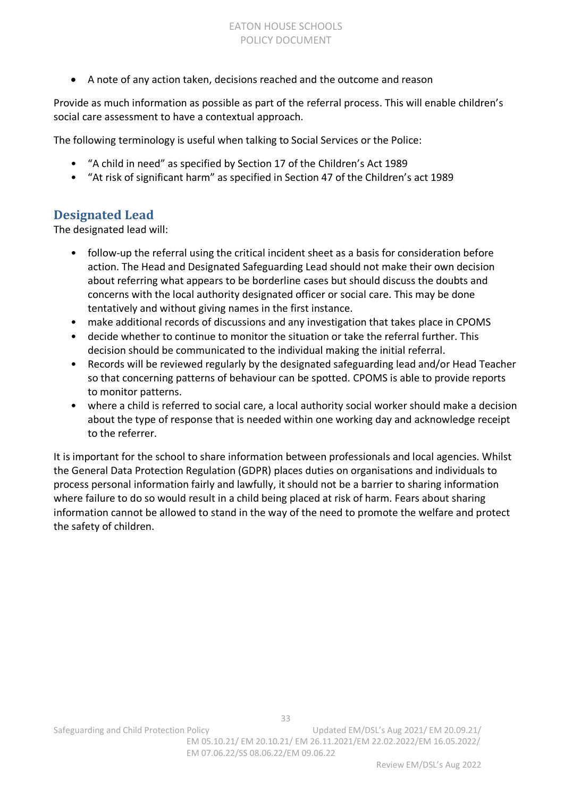• A note of any action taken, decisions reached and the outcome and reason

Provide as much information as possible as part of the referral process. This will enable children's social care assessment to have a contextual approach.

The following terminology is useful when talking to Social Services or the Police:

- "A child in need" as specified by Section 17 of the Children's Act 1989
- "At risk of significant harm" as specified in Section 47 of the Children's act 1989

### **Designated Lead**

The designated lead will:

- follow-up the referral using the critical incident sheet as a basis for consideration before action. The Head and Designated Safeguarding Lead should not make their own decision about referring what appears to be borderline cases but should discuss the doubts and concerns with the local authority designated officer or social care. This may be done tentatively and without giving names in the first instance.
- make additional records of discussions and any investigation that takes place in CPOMS
- decide whether to continue to monitor the situation or take the referral further. This decision should be communicated to the individual making the initial referral.
- Records will be reviewed regularly by the designated safeguarding lead and/or Head Teacher so that concerning patterns of behaviour can be spotted. CPOMS is able to provide reports to monitor patterns.
- where a child is referred to social care, a local authority social worker should make a decision about the type of response that is needed within one working day and acknowledge receipt to the referrer.

It is important for the school to share information between professionals and local agencies. Whilst the General Data Protection Regulation (GDPR) places duties on organisations and individuals to process personal information fairly and lawfully, it should not be a barrier to sharing information where failure to do so would result in a child being placed at risk of harm. Fears about sharing information cannot be allowed to stand in the way of the need to promote the welfare and protect the safety of children.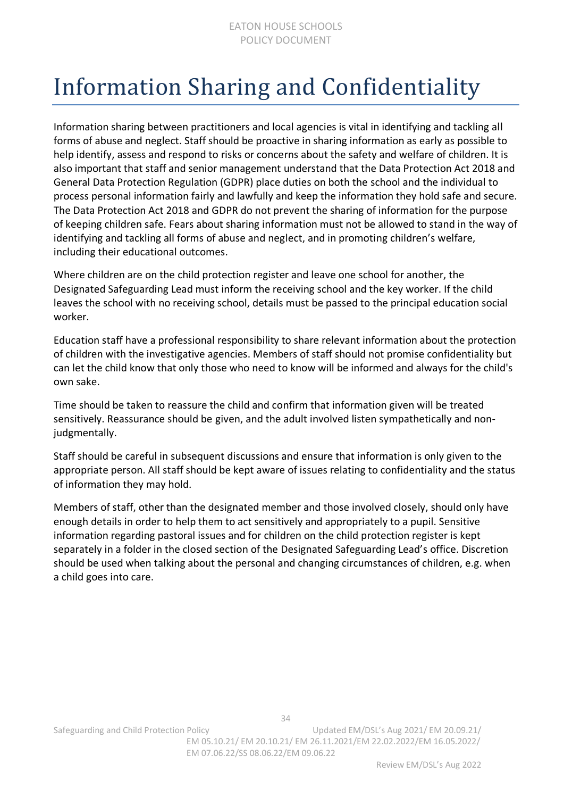### <span id="page-33-0"></span>Information Sharing and Confidentiality

Information sharing between practitioners and local agencies is vital in identifying and tackling all forms of abuse and neglect. Staff should be proactive in sharing information as early as possible to help identify, assess and respond to risks or concerns about the safety and welfare of children. It is also important that staff and senior management understand that the Data Protection Act 2018 and General Data Protection Regulation (GDPR) place duties on both the school and the individual to process personal information fairly and lawfully and keep the information they hold safe and secure. The Data Protection Act 2018 and GDPR do not prevent the sharing of information for the purpose of keeping children safe. Fears about sharing information must not be allowed to stand in the way of identifying and tackling all forms of abuse and neglect, and in promoting children's welfare, including their educational outcomes.

Where children are on the child protection register and leave one school for another, the Designated Safeguarding Lead must inform the receiving school and the key worker. If the child leaves the school with no receiving school, details must be passed to the principal education social worker.

Education staff have a professional responsibility to share relevant information about the protection of children with the investigative agencies. Members of staff should not promise confidentiality but can let the child know that only those who need to know will be informed and always for the child's own sake.

Time should be taken to reassure the child and confirm that information given will be treated sensitively. Reassurance should be given, and the adult involved listen sympathetically and nonjudgmentally.

Staff should be careful in subsequent discussions and ensure that information is only given to the appropriate person. All staff should be kept aware of issues relating to confidentiality and the status of information they may hold.

Members of staff, other than the designated member and those involved closely, should only have enough details in order to help them to act sensitively and appropriately to a pupil. Sensitive information regarding pastoral issues and for children on the child protection register is kept separately in a folder in the closed section of the Designated Safeguarding Lead's office. Discretion should be used when talking about the personal and changing circumstances of children, e.g. when a child goes into care.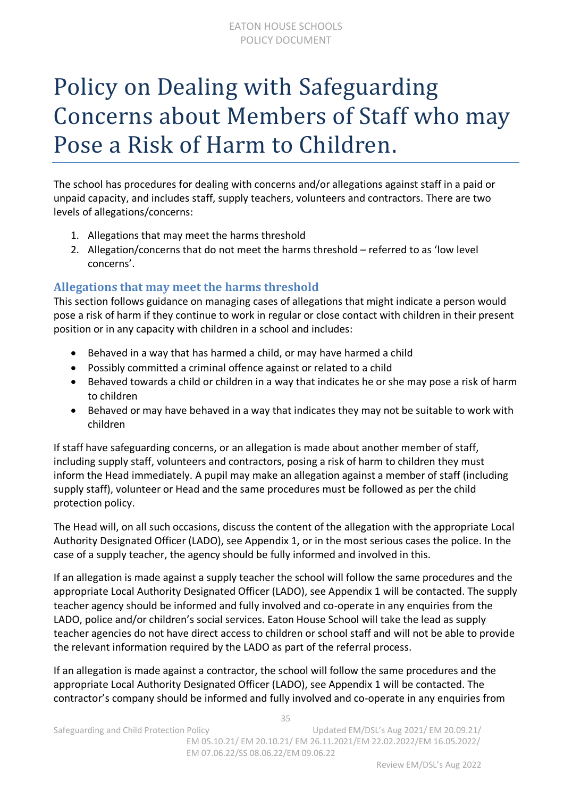### <span id="page-34-0"></span>Policy on Dealing with Safeguarding Concerns about Members of Staff who may Pose a Risk of Harm to Children.

The school has procedures for dealing with concerns and/or allegations against staff in a paid or unpaid capacity, and includes staff, supply teachers, volunteers and contractors. There are two levels of allegations/concerns:

- 1. Allegations that may meet the harms threshold
- 2. Allegation/concerns that do not meet the harms threshold referred to as 'low level concerns'.

### **Allegations that may meet the harms threshold**

This section follows guidance on managing cases of allegations that might indicate a person would pose a risk of harm if they continue to work in regular or close contact with children in their present position or in any capacity with children in a school and includes:

- Behaved in a way that has harmed a child, or may have harmed a child
- Possibly committed a criminal offence against or related to a child
- Behaved towards a child or children in a way that indicates he or she may pose a risk of harm to children
- Behaved or may have behaved in a way that indicates they may not be suitable to work with children

If staff have safeguarding concerns, or an allegation is made about another member of staff, including supply staff, volunteers and contractors, posing a risk of harm to children they must inform the Head immediately. A pupil may make an allegation against a member of staff (including supply staff), volunteer or Head and the same procedures must be followed as per the child protection policy.

The Head will, on all such occasions, discuss the content of the allegation with the appropriate Local Authority Designated Officer (LADO), see Appendix 1, or in the most serious cases the police. In the case of a supply teacher, the agency should be fully informed and involved in this.

If an allegation is made against a supply teacher the school will follow the same procedures and the appropriate Local Authority Designated Officer (LADO), see Appendix 1 will be contacted. The supply teacher agency should be informed and fully involved and co-operate in any enquiries from the LADO, police and/or children's social services. Eaton House School will take the lead as supply teacher agencies do not have direct access to children or school staff and will not be able to provide the relevant information required by the LADO as part of the referral process.

If an allegation is made against a contractor, the school will follow the same procedures and the appropriate Local Authority Designated Officer (LADO), see Appendix 1 will be contacted. The contractor's company should be informed and fully involved and co-operate in any enquiries from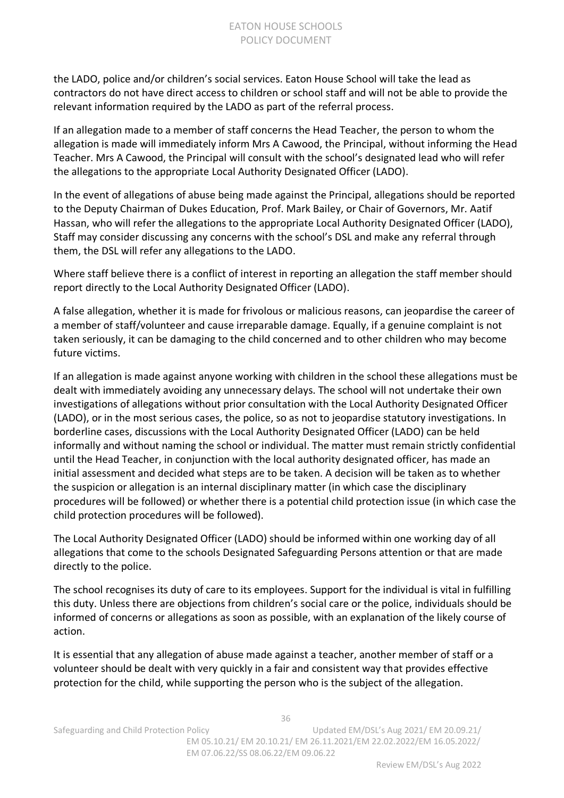the LADO, police and/or children's social services. Eaton House School will take the lead as contractors do not have direct access to children or school staff and will not be able to provide the relevant information required by the LADO as part of the referral process.

If an allegation made to a member of staff concerns the Head Teacher, the person to whom the allegation is made will immediately inform Mrs A Cawood, the Principal, without informing the Head Teacher. Mrs A Cawood, the Principal will consult with the school's designated lead who will refer the allegations to the appropriate Local Authority Designated Officer (LADO).

In the event of allegations of abuse being made against the Principal, allegations should be reported to the Deputy Chairman of Dukes Education, Prof. Mark Bailey, or Chair of Governors, Mr. Aatif Hassan, who will refer the allegations to the appropriate Local Authority Designated Officer (LADO), Staff may consider discussing any concerns with the school's DSL and make any referral through them, the DSL will refer any allegations to the LADO.

Where staff believe there is a conflict of interest in reporting an allegation the staff member should report directly to the Local Authority Designated Officer (LADO).

A false allegation, whether it is made for frivolous or malicious reasons, can jeopardise the career of a member of staff/volunteer and cause irreparable damage. Equally, if a genuine complaint is not taken seriously, it can be damaging to the child concerned and to other children who may become future victims.

If an allegation is made against anyone working with children in the school these allegations must be dealt with immediately avoiding any unnecessary delays. The school will not undertake their own investigations of allegations without prior consultation with the Local Authority Designated Officer (LADO), or in the most serious cases, the police, so as not to jeopardise statutory investigations. In borderline cases, discussions with the Local Authority Designated Officer (LADO) can be held informally and without naming the school or individual. The matter must remain strictly confidential until the Head Teacher, in conjunction with the local authority designated officer, has made an initial assessment and decided what steps are to be taken. A decision will be taken as to whether the suspicion or allegation is an internal disciplinary matter (in which case the disciplinary procedures will be followed) or whether there is a potential child protection issue (in which case the child protection procedures will be followed).

The Local Authority Designated Officer (LADO) should be informed within one working day of all allegations that come to the schools Designated Safeguarding Persons attention or that are made directly to the police.

The school recognises its duty of care to its employees. Support for the individual is vital in fulfilling this duty. Unless there are objections from children's social care or the police, individuals should be informed of concerns or allegations as soon as possible, with an explanation of the likely course of action.

It is essential that any allegation of abuse made against a teacher, another member of staff or a volunteer should be dealt with very quickly in a fair and consistent way that provides effective protection for the child, while supporting the person who is the subject of the allegation.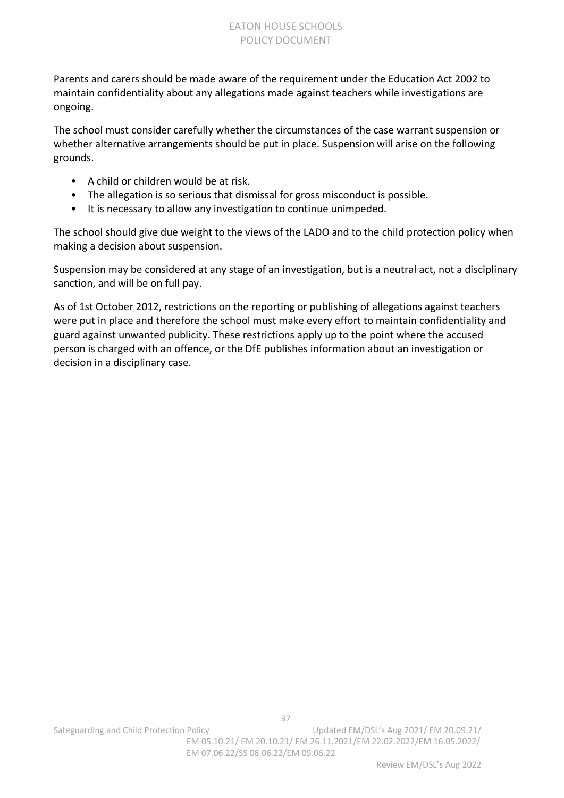Parents and carers should be made aware of the requirement under the Education Act 2002 to maintain confidentiality about any allegations made against teachers while investigations are ongoing.

The school must consider carefully whether the circumstances of the case warrant suspension or whether alternative arrangements should be put in place. Suspension will arise on the following grounds.

- A child or children would be at risk.
- The allegation is so serious that dismissal for gross misconduct is possible.
- It is necessary to allow any investigation to continue unimpeded.

The school should give due weight to the views of the LADO and to the child protection policy when making a decision about suspension.

Suspension may be considered at any stage of an investigation, but is a neutral act, not a disciplinary sanction, and will be on full pay.

As of 1st October 2012, restrictions on the reporting or publishing of allegations against teachers were put in place and therefore the school must make every effort to maintain confidentiality and guard against unwanted publicity. These restrictions apply up to the point where the accused person is charged with an offence, or the DfE publishes information about an investigation or decision in a disciplinary case.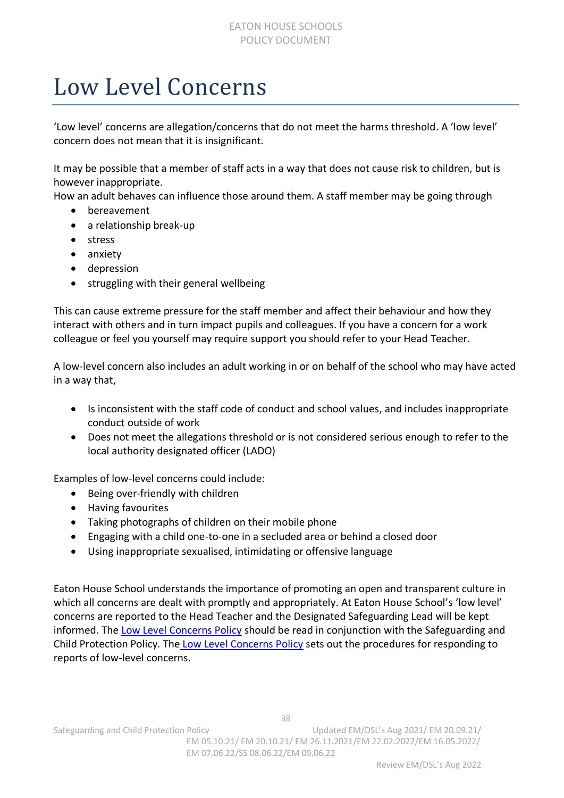### <span id="page-37-0"></span>Low Level Concerns

'Low level' concerns are allegation/concerns that do not meet the harms threshold. A 'low level' concern does not mean that it is insignificant.

It may be possible that a member of staff acts in a way that does not cause risk to children, but is however inappropriate.

How an adult behaves can influence those around them. A staff member may be going through

- bereavement
- a relationship break-up
- stress
- anxiety
- depression
- struggling with their general wellbeing

This can cause extreme pressure for the staff member and affect their behaviour and how they interact with others and in turn impact pupils and colleagues. If you have a concern for a work colleague or feel you yourself may require support you should refer to your Head Teacher.

A low-level concern also includes an adult working in or on behalf of the school who may have acted in a way that,

- Is inconsistent with the staff code of conduct and school values, and includes inappropriate conduct outside of work
- Does not meet the allegations threshold or is not considered serious enough to refer to the local authority designated officer (LADO)

Examples of low-level concerns could include:

- Being over-friendly with children
- Having favourites
- Taking photographs of children on their mobile phone
- Engaging with a child one-to-one in a secluded area or behind a closed door
- Using inappropriate sexualised, intimidating or offensive language

Eaton House School understands the importance of promoting an open and transparent culture in which all concerns are dealt with promptly and appropriately. At Eaton House School's 'low level' concerns are reported to the Head Teacher and the Designated Safeguarding Lead will be kept informed. The [Low Level Concerns Policy](https://resources.finalsite.net/images/v1655192673/eatonhouseschoolscom/gevzgk75inrdbvvqda1m/LowLevelConcernsPolicy2021-2210062022.pdf) should be read in conjunction with the Safeguarding and Child Protection Policy. The [Low Level Concerns Policy](https://resources.finalsite.net/images/v1655192673/eatonhouseschoolscom/gevzgk75inrdbvvqda1m/LowLevelConcernsPolicy2021-2210062022.pdf) sets out the procedures for responding to reports of low-level concerns.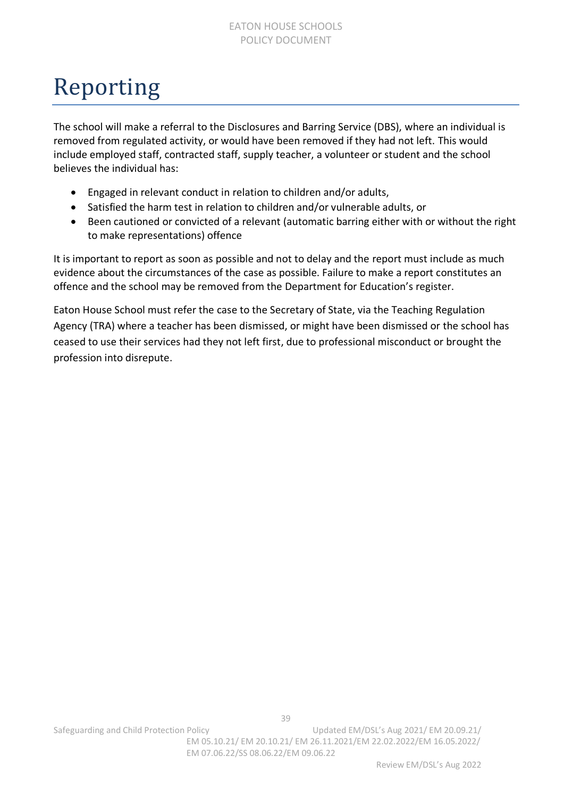### <span id="page-38-0"></span>Reporting

The school will make a referral to the Disclosures and Barring Service (DBS), where an individual is removed from regulated activity, or would have been removed if they had not left. This would include employed staff, contracted staff, supply teacher, a volunteer or student and the school believes the individual has:

- Engaged in relevant conduct in relation to children and/or adults,
- Satisfied the harm test in relation to children and/or vulnerable adults, or
- Been cautioned or convicted of a relevant (automatic barring either with or without the right to make representations) offence

It is important to report as soon as possible and not to delay and the report must include as much evidence about the circumstances of the case as possible. Failure to make a report constitutes an offence and the school may be removed from the Department for Education's register.

Eaton House School must refer the case to the Secretary of State, via the Teaching Regulation Agency (TRA) where a teacher has been dismissed, or might have been dismissed or the school has ceased to use their services had they not left first, due to professional misconduct or brought the profession into disrepute.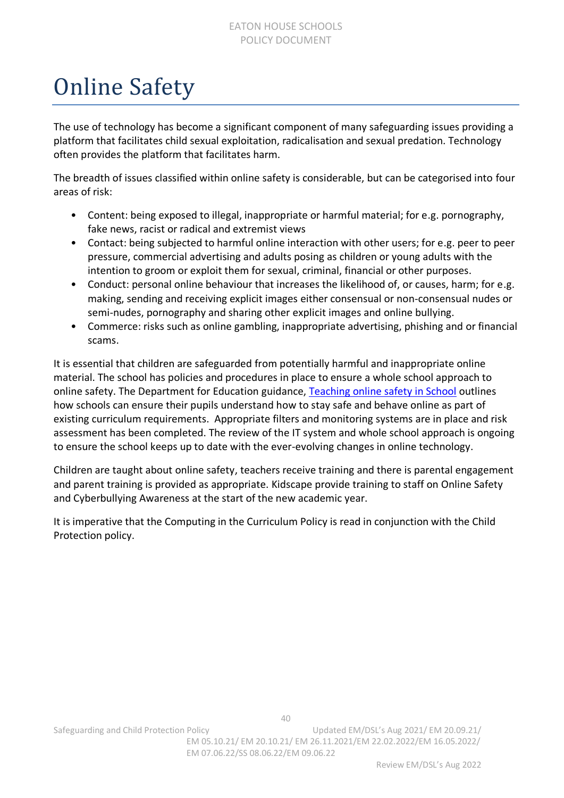#### EATON HOUSE SCHOOLS POLICY DOCUMENT

### <span id="page-39-0"></span>Online Safety

The use of technology has become a significant component of many safeguarding issues providing a platform that facilitates child sexual exploitation, radicalisation and sexual predation. Technology often provides the platform that facilitates harm.

The breadth of issues classified within online safety is considerable, but can be categorised into four areas of risk:

- Content: being exposed to illegal, inappropriate or harmful material; for e.g. pornography, fake news, racist or radical and extremist views
- Contact: being subjected to harmful online interaction with other users; for e.g. peer to peer pressure, commercial advertising and adults posing as children or young adults with the intention to groom or exploit them for sexual, criminal, financial or other purposes.
- Conduct: personal online behaviour that increases the likelihood of, or causes, harm; for e.g. making, sending and receiving explicit images either consensual or non-consensual nudes or semi-nudes, pornography and sharing other explicit images and online bullying.
- Commerce: risks such as online gambling, inappropriate advertising, phishing and or financial scams.

It is essential that children are safeguarded from potentially harmful and inappropriate online material. The school has policies and procedures in place to ensure a whole school approach to online safety. The Department for Education guidance, [Teaching online safety in School](https://assets.publishing.service.gov.uk/government/uploads/system/uploads/attachment_data/file/811796/Teaching_online_safety_in_school.pdf) outlines how schools can ensure their pupils understand how to stay safe and behave online as part of existing curriculum requirements. Appropriate filters and monitoring systems are in place and risk assessment has been completed. The review of the IT system and whole school approach is ongoing to ensure the school keeps up to date with the ever-evolving changes in online technology.

Children are taught about online safety, teachers receive training and there is parental engagement and parent training is provided as appropriate. Kidscape provide training to staff on Online Safety and Cyberbullying Awareness at the start of the new academic year.

It is imperative that the Computing in the Curriculum Policy is read in conjunction with the Child Protection policy.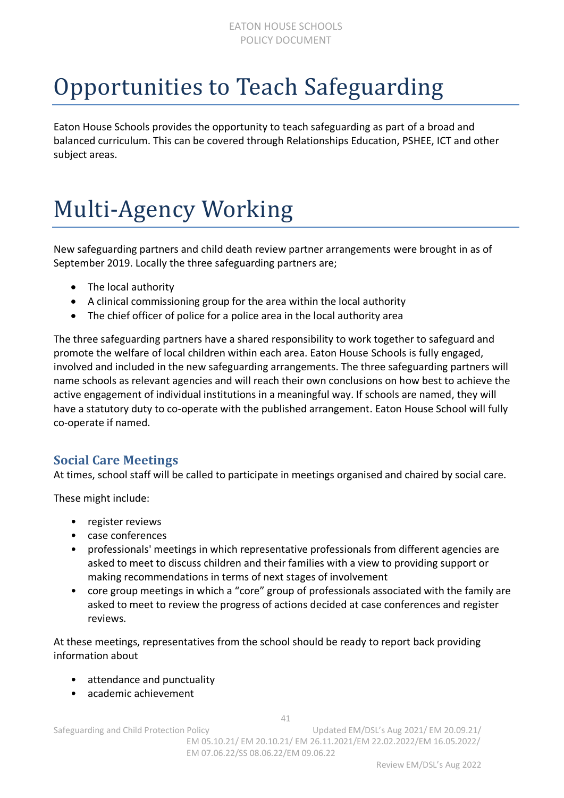## <span id="page-40-0"></span>Opportunities to Teach Safeguarding

Eaton House Schools provides the opportunity to teach safeguarding as part of a broad and balanced curriculum. This can be covered through Relationships Education, PSHEE, ICT and other subject areas.

# <span id="page-40-1"></span>Multi-Agency Working

New safeguarding partners and child death review partner arrangements were brought in as of September 2019. Locally the three safeguarding partners are;

- The local authority
- A clinical commissioning group for the area within the local authority
- The chief officer of police for a police area in the local authority area

The three safeguarding partners have a shared responsibility to work together to safeguard and promote the welfare of local children within each area. Eaton House Schools is fully engaged, involved and included in the new safeguarding arrangements. The three safeguarding partners will name schools as relevant agencies and will reach their own conclusions on how best to achieve the active engagement of individual institutions in a meaningful way. If schools are named, they will have a statutory duty to co-operate with the published arrangement. Eaton House School will fully co-operate if named.

### **Social Care Meetings**

At times, school staff will be called to participate in meetings organised and chaired by social care.

These might include:

- register reviews
- case conferences
- professionals' meetings in which representative professionals from different agencies are asked to meet to discuss children and their families with a view to providing support or making recommendations in terms of next stages of involvement
- core group meetings in which a "core" group of professionals associated with the family are asked to meet to review the progress of actions decided at case conferences and register reviews.

At these meetings, representatives from the school should be ready to report back providing information about

- attendance and punctuality
- academic achievement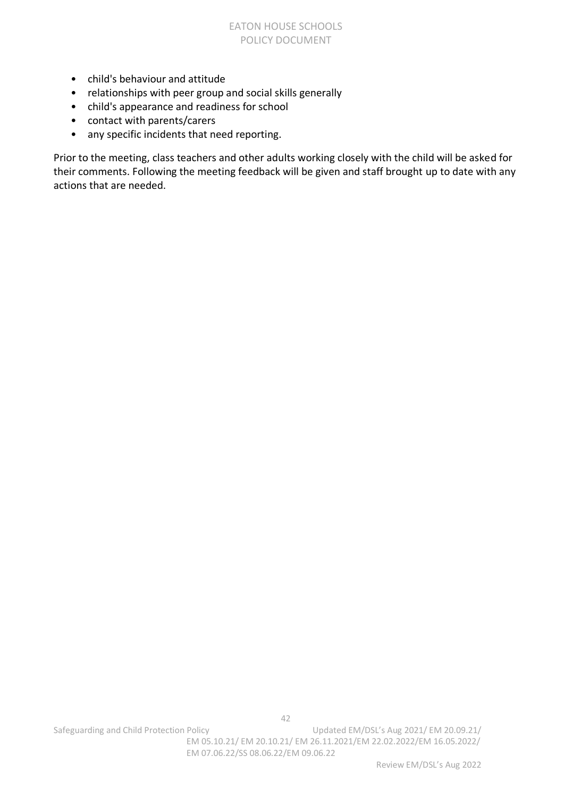- child's behaviour and attitude
- relationships with peer group and social skills generally
- child's appearance and readiness for school
- contact with parents/carers
- any specific incidents that need reporting.

Prior to the meeting, class teachers and other adults working closely with the child will be asked for their comments. Following the meeting feedback will be given and staff brought up to date with any actions that are needed.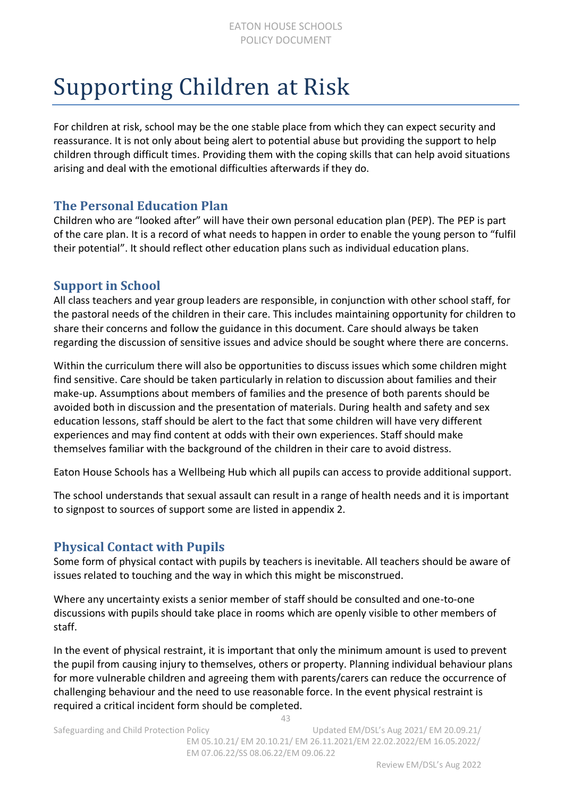### <span id="page-42-0"></span>Supporting Children at Risk

For children at risk, school may be the one stable place from which they can expect security and reassurance. It is not only about being alert to potential abuse but providing the support to help children through difficult times. Providing them with the coping skills that can help avoid situations arising and deal with the emotional difficulties afterwards if they do.

### **The Personal Education Plan**

Children who are "looked after" will have their own personal education plan (PEP). The PEP is part of the care plan. It is a record of what needs to happen in order to enable the young person to "fulfil their potential". It should reflect other education plans such as individual education plans.

#### **Support in School**

All class teachers and year group leaders are responsible, in conjunction with other school staff, for the pastoral needs of the children in their care. This includes maintaining opportunity for children to share their concerns and follow the guidance in this document. Care should always be taken regarding the discussion of sensitive issues and advice should be sought where there are concerns.

Within the curriculum there will also be opportunities to discuss issues which some children might find sensitive. Care should be taken particularly in relation to discussion about families and their make-up. Assumptions about members of families and the presence of both parents should be avoided both in discussion and the presentation of materials. During health and safety and sex education lessons, staff should be alert to the fact that some children will have very different experiences and may find content at odds with their own experiences. Staff should make themselves familiar with the background of the children in their care to avoid distress.

Eaton House Schools has a Wellbeing Hub which all pupils can access to provide additional support.

The school understands that sexual assault can result in a range of health needs and it is important to signpost to sources of support some are listed in appendix 2.

### **Physical Contact with Pupils**

Some form of physical contact with pupils by teachers is inevitable. All teachers should be aware of issues related to touching and the way in which this might be misconstrued.

Where any uncertainty exists a senior member of staff should be consulted and one-to-one discussions with pupils should take place in rooms which are openly visible to other members of staff.

In the event of physical restraint, it is important that only the minimum amount is used to prevent the pupil from causing injury to themselves, others or property. Planning individual behaviour plans for more vulnerable children and agreeing them with parents/carers can reduce the occurrence of challenging behaviour and the need to use reasonable force. In the event physical restraint is required a critical incident form should be completed.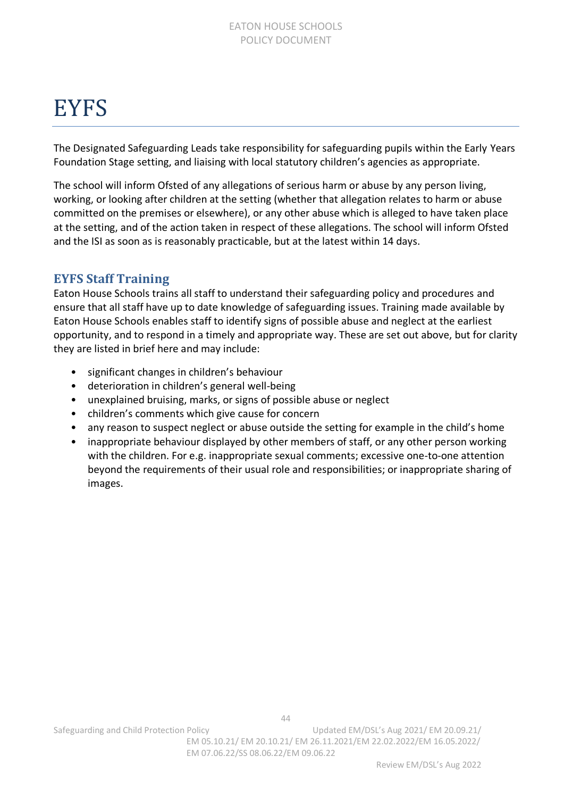### <span id="page-43-0"></span>**EYFS**

The Designated Safeguarding Leads take responsibility for safeguarding pupils within the Early Years Foundation Stage setting, and liaising with local statutory children's agencies as appropriate.

The school will inform Ofsted of any allegations of serious harm or abuse by any person living, working, or looking after children at the setting (whether that allegation relates to harm or abuse committed on the premises or elsewhere), or any other abuse which is alleged to have taken place at the setting, and of the action taken in respect of these allegations. The school will inform Ofsted and the ISI as soon as is reasonably practicable, but at the latest within 14 days.

### **EYFS Staff Training**

Eaton House Schools trains all staff to understand their safeguarding policy and procedures and ensure that all staff have up to date knowledge of safeguarding issues. Training made available by Eaton House Schools enables staff to identify signs of possible abuse and neglect at the earliest opportunity, and to respond in a timely and appropriate way. These are set out above, but for clarity they are listed in brief here and may include:

- significant changes in children's behaviour
- deterioration in children's general well-being
- unexplained bruising, marks, or signs of possible abuse or neglect
- children's comments which give cause for concern
- any reason to suspect neglect or abuse outside the setting for example in the child's home
- inappropriate behaviour displayed by other members of staff, or any other person working with the children. For e.g. inappropriate sexual comments; excessive one-to-one attention beyond the requirements of their usual role and responsibilities; or inappropriate sharing of images.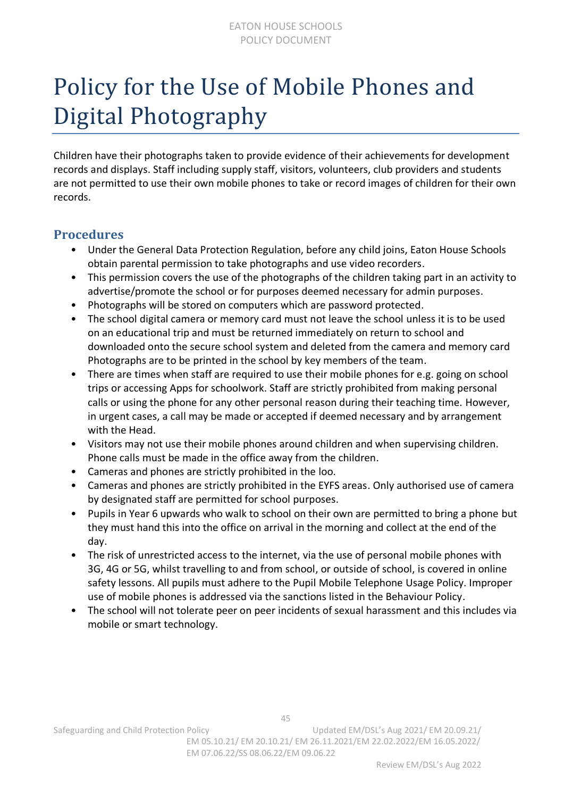### <span id="page-44-0"></span>Policy for the Use of Mobile Phones and Digital Photography

Children have their photographs taken to provide evidence of their achievements for development records and displays. Staff including supply staff, visitors, volunteers, club providers and students are not permitted to use their own mobile phones to take or record images of children for their own records.

#### **Procedures**

- Under the General Data Protection Regulation, before any child joins, Eaton House Schools obtain parental permission to take photographs and use video recorders.
- This permission covers the use of the photographs of the children taking part in an activity to advertise/promote the school or for purposes deemed necessary for admin purposes.
- Photographs will be stored on computers which are password protected.
- The school digital camera or memory card must not leave the school unless it is to be used on an educational trip and must be returned immediately on return to school and downloaded onto the secure school system and deleted from the camera and memory card Photographs are to be printed in the school by key members of the team.
- There are times when staff are required to use their mobile phones for e.g. going on school trips or accessing Apps for schoolwork. Staff are strictly prohibited from making personal calls or using the phone for any other personal reason during their teaching time. However, in urgent cases, a call may be made or accepted if deemed necessary and by arrangement with the Head.
- Visitors may not use their mobile phones around children and when supervising children. Phone calls must be made in the office away from the children.
- Cameras and phones are strictly prohibited in the loo.
- Cameras and phones are strictly prohibited in the EYFS areas. Only authorised use of camera by designated staff are permitted for school purposes.
- Pupils in Year 6 upwards who walk to school on their own are permitted to bring a phone but they must hand this into the office on arrival in the morning and collect at the end of the day.
- The risk of unrestricted access to the internet, via the use of personal mobile phones with 3G, 4G or 5G, whilst travelling to and from school, or outside of school, is covered in online safety lessons. All pupils must adhere to the Pupil Mobile Telephone Usage Policy. Improper use of mobile phones is addressed via the sanctions listed in the Behaviour Policy.
- The school will not tolerate peer on peer incidents of sexual harassment and this includes via mobile or smart technology.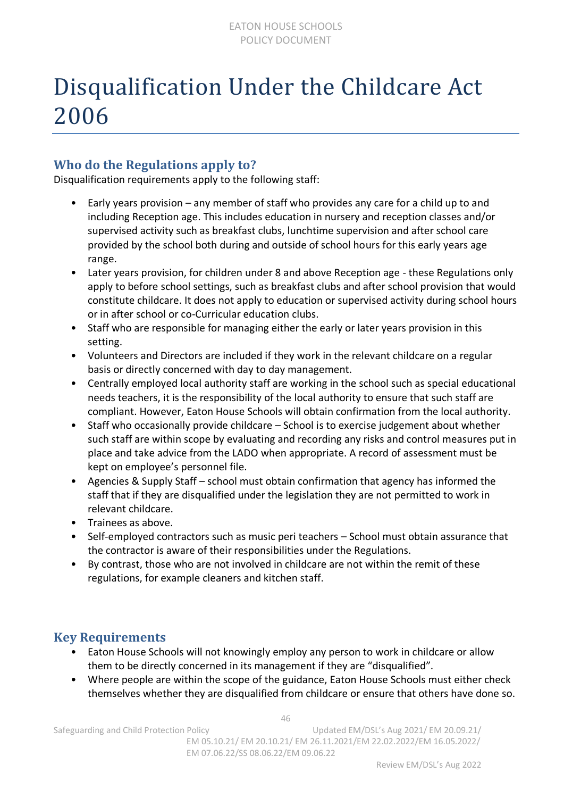### <span id="page-45-0"></span>Disqualification Under the Childcare Act 2006

### **Who do the Regulations apply to?**

Disqualification requirements apply to the following staff:

- Early years provision any member of staff who provides any care for a child up to and including Reception age. This includes education in nursery and reception classes and/or supervised activity such as breakfast clubs, lunchtime supervision and after school care provided by the school both during and outside of school hours for this early years age range.
- Later years provision, for children under 8 and above Reception age these Regulations only apply to before school settings, such as breakfast clubs and after school provision that would constitute childcare. It does not apply to education or supervised activity during school hours or in after school or co-Curricular education clubs.
- Staff who are responsible for managing either the early or later years provision in this setting.
- Volunteers and Directors are included if they work in the relevant childcare on a regular basis or directly concerned with day to day management.
- Centrally employed local authority staff are working in the school such as special educational needs teachers, it is the responsibility of the local authority to ensure that such staff are compliant. However, Eaton House Schools will obtain confirmation from the local authority.
- Staff who occasionally provide childcare School is to exercise judgement about whether such staff are within scope by evaluating and recording any risks and control measures put in place and take advice from the LADO when appropriate. A record of assessment must be kept on employee's personnel file.
- Agencies & Supply Staff school must obtain confirmation that agency has informed the staff that if they are disqualified under the legislation they are not permitted to work in relevant childcare.
- Trainees as above.
- Self-employed contractors such as music peri teachers School must obtain assurance that the contractor is aware of their responsibilities under the Regulations.
- By contrast, those who are not involved in childcare are not within the remit of these regulations, for example cleaners and kitchen staff.

### **Key Requirements**

- Eaton House Schools will not knowingly employ any person to work in childcare or allow them to be directly concerned in its management if they are "disqualified".
- Where people are within the scope of the guidance, Eaton House Schools must either check themselves whether they are disqualified from childcare or ensure that others have done so.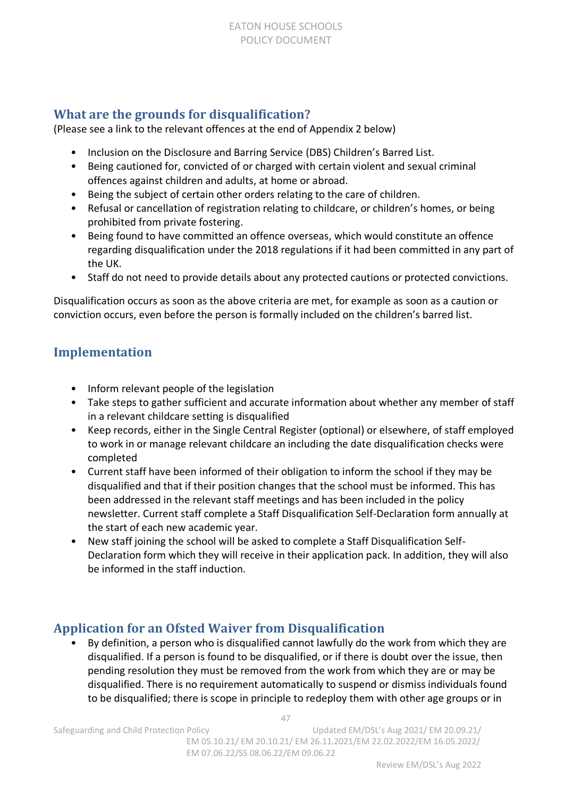### **What are the grounds for disqualification?**

(Please see a link to the relevant offences at the end of Appendix 2 below)

- Inclusion on the Disclosure and Barring Service (DBS) Children's Barred List.
- Being cautioned for, convicted of or charged with certain violent and sexual criminal offences against children and adults, at home or abroad.
- Being the subject of certain other orders relating to the care of children.
- Refusal or cancellation of registration relating to childcare, or children's homes, or being prohibited from private fostering.
- Being found to have committed an offence overseas, which would constitute an offence regarding disqualification under the 2018 regulations if it had been committed in any part of the UK.
- Staff do not need to provide details about any protected cautions or protected convictions.

Disqualification occurs as soon as the above criteria are met, for example as soon as a caution or conviction occurs, even before the person is formally included on the children's barred list.

### **Implementation**

- Inform relevant people of the legislation
- Take steps to gather sufficient and accurate information about whether any member of staff in a relevant childcare setting is disqualified
- Keep records, either in the Single Central Register (optional) or elsewhere, of staff employed to work in or manage relevant childcare an including the date disqualification checks were completed
- Current staff have been informed of their obligation to inform the school if they may be disqualified and that if their position changes that the school must be informed. This has been addressed in the relevant staff meetings and has been included in the policy newsletter. Current staff complete a Staff Disqualification Self-Declaration form annually at the start of each new academic year.
- New staff joining the school will be asked to complete a Staff Disqualification Self-Declaration form which they will receive in their application pack. In addition, they will also be informed in the staff induction.

### **Application for an Ofsted Waiver from Disqualification**

• By definition, a person who is disqualified cannot lawfully do the work from which they are disqualified. If a person is found to be disqualified, or if there is doubt over the issue, then pending resolution they must be removed from the work from which they are or may be disqualified. There is no requirement automatically to suspend or dismiss individuals found to be disqualified; there is scope in principle to redeploy them with other age groups or in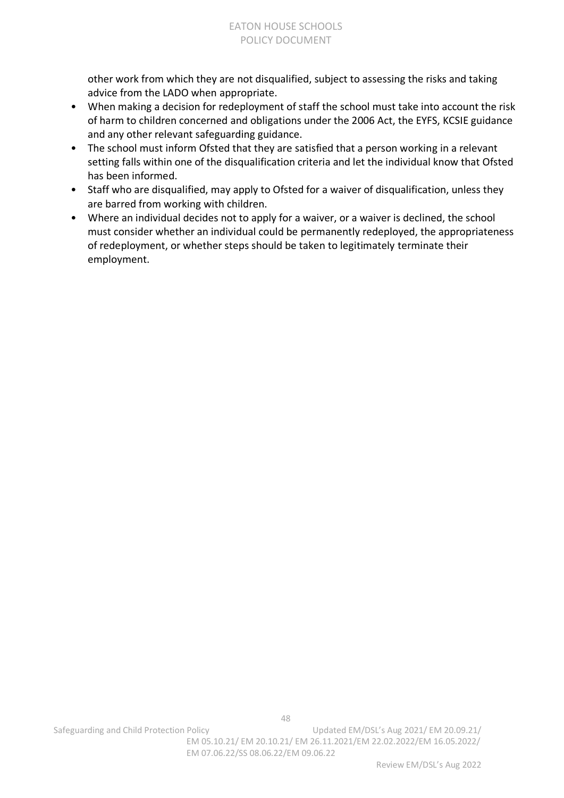other work from which they are not disqualified, subject to assessing the risks and taking advice from the LADO when appropriate.

- When making a decision for redeployment of staff the school must take into account the risk of harm to children concerned and obligations under the 2006 Act, the EYFS, KCSIE guidance and any other relevant safeguarding guidance.
- The school must inform Ofsted that they are satisfied that a person working in a relevant setting falls within one of the disqualification criteria and let the individual know that Ofsted has been informed.
- Staff who are disqualified, may apply to Ofsted for a waiver of disqualification, unless they are barred from working with children.
- Where an individual decides not to apply for a waiver, or a waiver is declined, the school must consider whether an individual could be permanently redeployed, the appropriateness of redeployment, or whether steps should be taken to legitimately terminate their employment.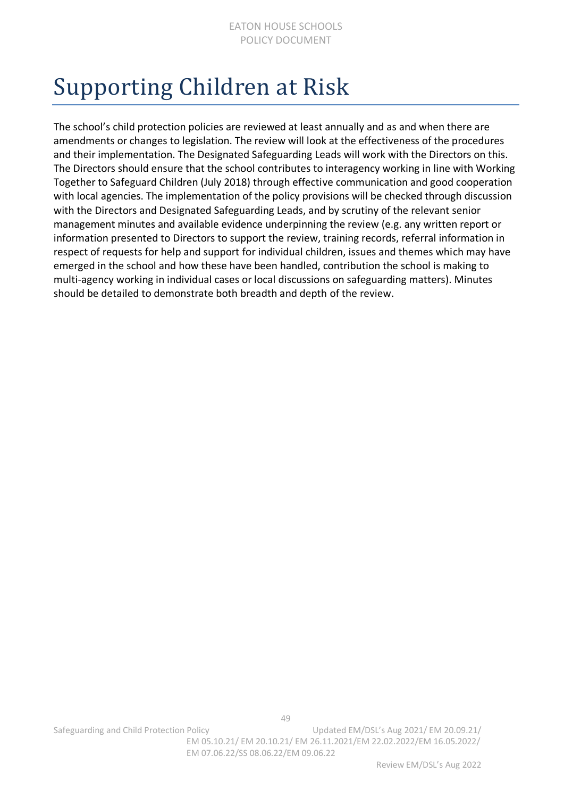### <span id="page-48-0"></span>Supporting Children at Risk

The school's child protection policies are reviewed at least annually and as and when there are amendments or changes to legislation. The review will look at the effectiveness of the procedures and their implementation. The Designated Safeguarding Leads will work with the Directors on this. The Directors should ensure that the school contributes to interagency working in line with Working Together to Safeguard Children (July 2018) through effective communication and good cooperation with local agencies. The implementation of the policy provisions will be checked through discussion with the Directors and Designated Safeguarding Leads, and by scrutiny of the relevant senior management minutes and available evidence underpinning the review (e.g. any written report or information presented to Directors to support the review, training records, referral information in respect of requests for help and support for individual children, issues and themes which may have emerged in the school and how these have been handled, contribution the school is making to multi-agency working in individual cases or local discussions on safeguarding matters). Minutes should be detailed to demonstrate both breadth and depth of the review.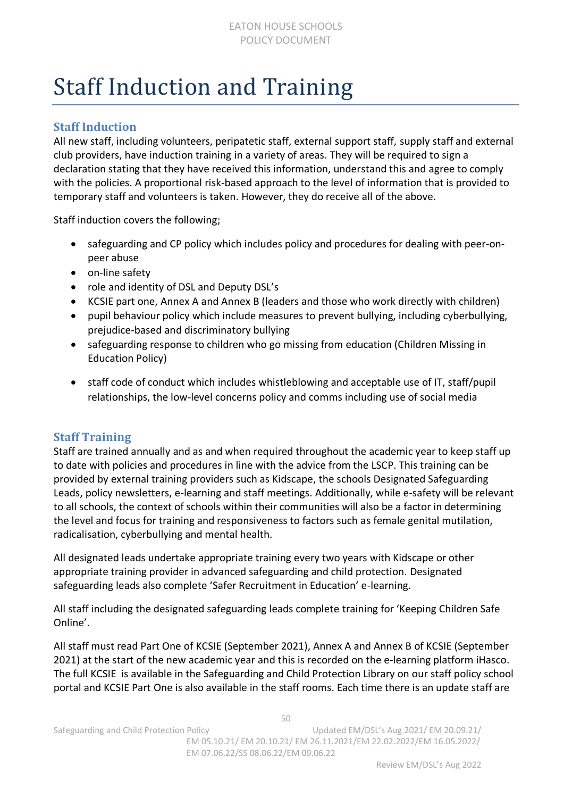### <span id="page-49-0"></span>Staff Induction and Training

### **Staff Induction**

All new staff, including volunteers, peripatetic staff, external support staff, supply staff and external club providers, have induction training in a variety of areas. They will be required to sign a declaration stating that they have received this information, understand this and agree to comply with the policies. A proportional risk-based approach to the level of information that is provided to temporary staff and volunteers is taken. However, they do receive all of the above.

Staff induction covers the following;

- safeguarding and CP policy which includes policy and procedures for dealing with peer-onpeer abuse
- on-line safety
- role and identity of DSL and Deputy DSL's
- KCSIE part one, Annex A and Annex B (leaders and those who work directly with children)
- pupil behaviour policy which include measures to prevent bullying, including cyberbullying, prejudice-based and discriminatory bullying
- safeguarding response to children who go missing from education (Children Missing in Education Policy)
- staff code of conduct which includes whistleblowing and acceptable use of IT, staff/pupil relationships, the low-level concerns policy and comms including use of social media

#### **Staff Training**

Staff are trained annually and as and when required throughout the academic year to keep staff up to date with policies and procedures in line with the advice from the LSCP. This training can be provided by external training providers such as Kidscape, the schools Designated Safeguarding Leads, policy newsletters, e-learning and staff meetings. Additionally, while e-safety will be relevant to all schools, the context of schools within their communities will also be a factor in determining the level and focus for training and responsiveness to factors such as female genital mutilation, radicalisation, cyberbullying and mental health.

All designated leads undertake appropriate training every two years with Kidscape or other appropriate training provider in advanced safeguarding and child protection. Designated safeguarding leads also complete 'Safer Recruitment in Education' e-learning.

All staff including the designated safeguarding leads complete training for 'Keeping Children Safe Online'.

All staff must read Part One of KCSIE (September 2021), Annex A and Annex B of KCSIE (September 2021) at the start of the new academic year and this is recorded on the e-learning platform iHasco. The full KCSIE is available in the Safeguarding and Child Protection Library on our staff policy school portal and KCSIE Part One is also available in the staff rooms. Each time there is an update staff are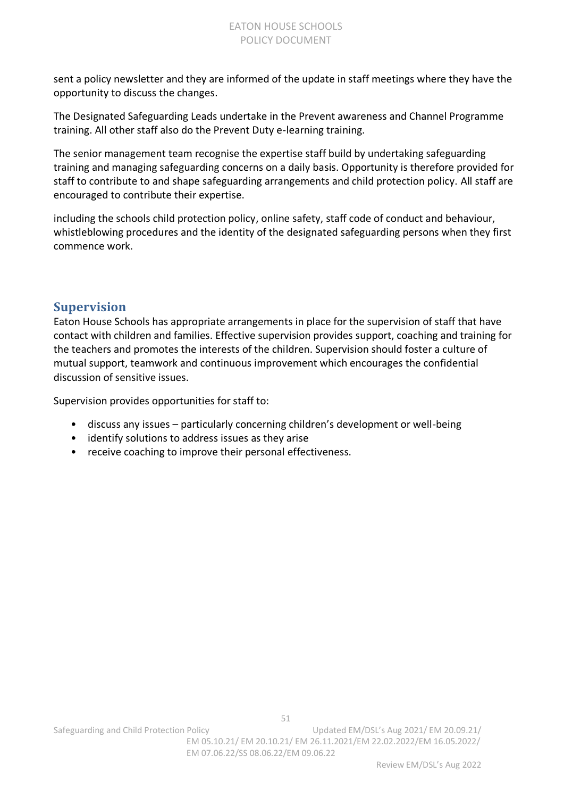sent a policy newsletter and they are informed of the update in staff meetings where they have the opportunity to discuss the changes.

The Designated Safeguarding Leads undertake in the Prevent awareness and Channel Programme training. All other staff also do the Prevent Duty e-learning training.

The senior management team recognise the expertise staff build by undertaking safeguarding training and managing safeguarding concerns on a daily basis. Opportunity is therefore provided for staff to contribute to and shape safeguarding arrangements and child protection policy. All staff are encouraged to contribute their expertise.

including the schools child protection policy, online safety, staff code of conduct and behaviour, whistleblowing procedures and the identity of the designated safeguarding persons when they first commence work.

### **Supervision**

Eaton House Schools has appropriate arrangements in place for the supervision of staff that have contact with children and families. Effective supervision provides support, coaching and training for the teachers and promotes the interests of the children. Supervision should foster a culture of mutual support, teamwork and continuous improvement which encourages the confidential discussion of sensitive issues.

Supervision provides opportunities for staff to:

- discuss any issues particularly concerning children's development or well-being
- identify solutions to address issues as they arise
- receive coaching to improve their personal effectiveness.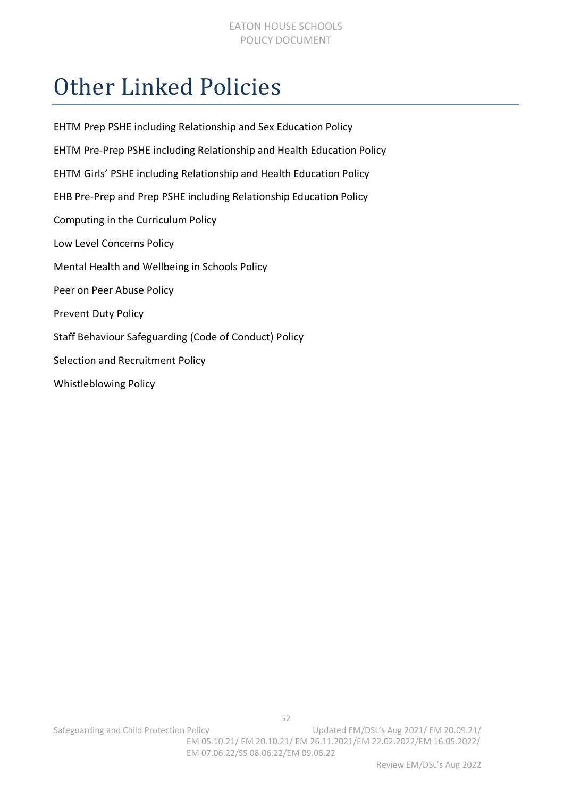### <span id="page-51-0"></span>Other Linked Policies

| EHTM Prep PSHE including Relationship and Sex Education Policy        |
|-----------------------------------------------------------------------|
| EHTM Pre-Prep PSHE including Relationship and Health Education Policy |
| EHTM Girls' PSHE including Relationship and Health Education Policy   |
| EHB Pre-Prep and Prep PSHE including Relationship Education Policy    |
| Computing in the Curriculum Policy                                    |
| Low Level Concerns Policy                                             |
| Mental Health and Wellbeing in Schools Policy                         |
| Peer on Peer Abuse Policy                                             |
| <b>Prevent Duty Policy</b>                                            |
| Staff Behaviour Safeguarding (Code of Conduct) Policy                 |
| Selection and Recruitment Policy                                      |
| Whistleblowing Policy                                                 |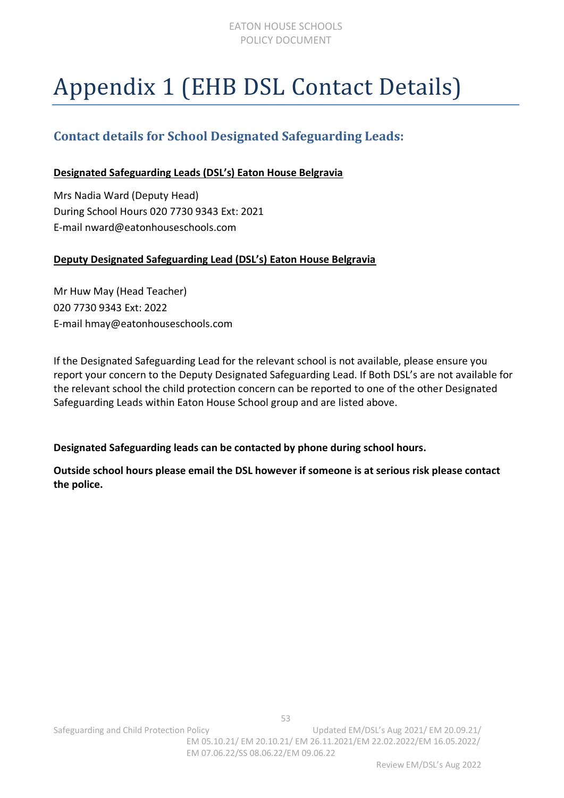# <span id="page-52-0"></span>Appendix 1 (EHB DSL Contact Details)

### **Contact details for School Designated Safeguarding Leads:**

#### **Designated Safeguarding Leads (DSL's) Eaton House Belgravia**

Mrs Nadia Ward (Deputy Head) During School Hours 020 7730 9343 Ext: 2021 E-mail nward@eatonhouseschools.com

#### **Deputy Designated Safeguarding Lead (DSL's) Eaton House Belgravia**

Mr Huw May (Head Teacher) 020 7730 9343 Ext: 2022 E-mail hmay@eatonhouseschools.com

If the Designated Safeguarding Lead for the relevant school is not available, please ensure you report your concern to the Deputy Designated Safeguarding Lead. If Both DSL's are not available for the relevant school the child protection concern can be reported to one of the other Designated Safeguarding Leads within Eaton House School group and are listed above.

**Designated Safeguarding leads can be contacted by phone during school hours.** 

**Outside school hours please email the DSL however if someone is at serious risk please contact the police.**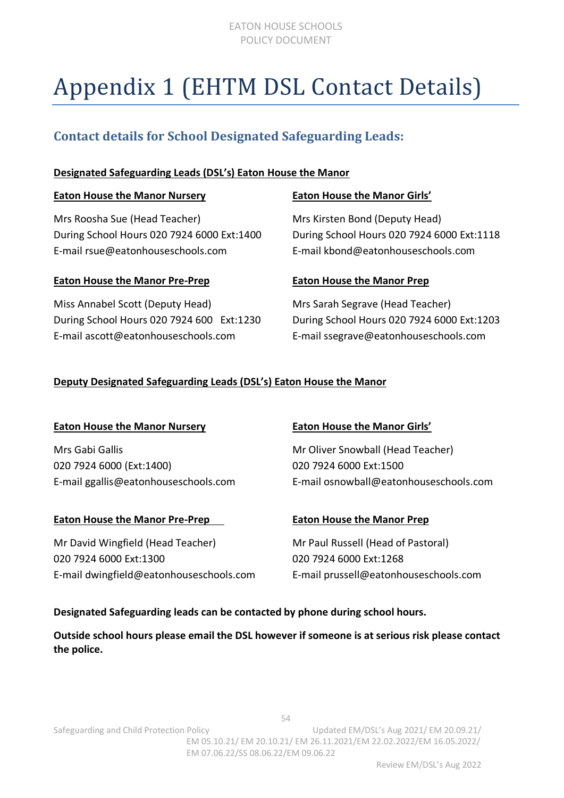#### EATON HOUSE SCHOOLS POLICY DOCUMENT

## <span id="page-53-0"></span>Appendix 1 (EHTM DSL Contact Details)

### **Contact details for School Designated Safeguarding Leads:**

#### **Designated Safeguarding Leads (DSL's) Eaton House the Manor**

| <b>Eaton House the Manor Nursery</b>                                                                             | <b>Eaton House the Manor Girls'</b>                                                                                |
|------------------------------------------------------------------------------------------------------------------|--------------------------------------------------------------------------------------------------------------------|
| Mrs Roosha Sue (Head Teacher)<br>During School Hours 020 7924 6000 Ext:1400<br>E-mail rsue@eatonhouseschools.com | Mrs Kirsten Bond (Deputy Head)<br>During School Hours 020 7924 6000 Ext:1118<br>E-mail kbond@eatonhouseschools.com |
| <b>Eaton House the Manor Pre-Prep</b>                                                                            | <b>Eaton House the Manor Prep</b>                                                                                  |
| Miss Annabel Scott (Deputy Head)                                                                                 | Mrs Sarah Segrave (Head Teacher)                                                                                   |

During School Hours 020 7924 600 Ext:1230 During School Hours 020 7924 6000 Ext:1203 E-mail ascott@eatonhouseschools.com E-mail ssegrave@eatonhouseschools.com

#### **Deputy Designated Safeguarding Leads (DSL's) Eaton House the Manor**

#### **Eaton House the Manor Nursery Eaton House the Manor Girls'**

Mrs Gabi Gallis Mrs Gabi Gallis Mrs Gabi Gallis Mrs Gabi Gallis Musculi (Head Teacher) 020 7924 6000 (Ext:1400) 020 7924 6000 Ext:1500

#### **Eaton House the Manor Pre-Prep <b>Eaton House the Manor Prep**

Mr David Wingfield (Head Teacher) Mr Paul Russell (Head of Pastoral) 020 7924 6000 Ext:1300 020 7924 6000 Ext:1268 E-mail dwingfield@eatonhouseschools.com E-mail prussell@eatonhouseschools.com

E-mail ggallis@eatonhouseschools.com E-mail osnowball@eatonhouseschools.com

#### **Designated Safeguarding leads can be contacted by phone during school hours.**

**Outside school hours please email the DSL however if someone is at serious risk please contact the police.**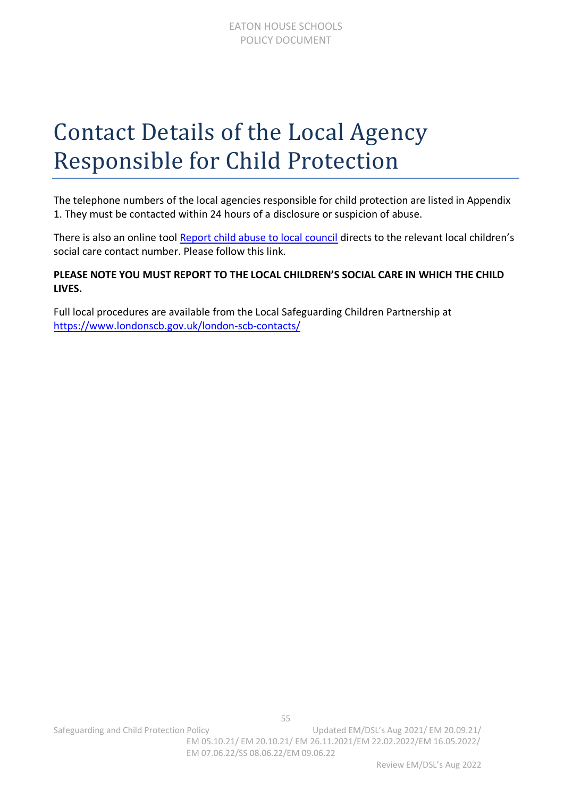### <span id="page-54-0"></span>Contact Details of the Local Agency Responsible for Child Protection

The telephone numbers of the local agencies responsible for child protection are listed in Appendix 1. They must be contacted within 24 hours of a disclosure or suspicion of abuse.

There is also an online tool [Report child abuse to local council](https://www.gov.uk/report-child-abuse-to-local-council) directs to the relevant local children's social care contact number. Please follow this link.

#### **PLEASE NOTE YOU MUST REPORT TO THE LOCAL CHILDREN'S SOCIAL CARE IN WHICH THE CHILD LIVES.**

Full local procedures are available from the Local Safeguarding Children Partnership at <https://www.londonscb.gov.uk/london-scb-contacts/>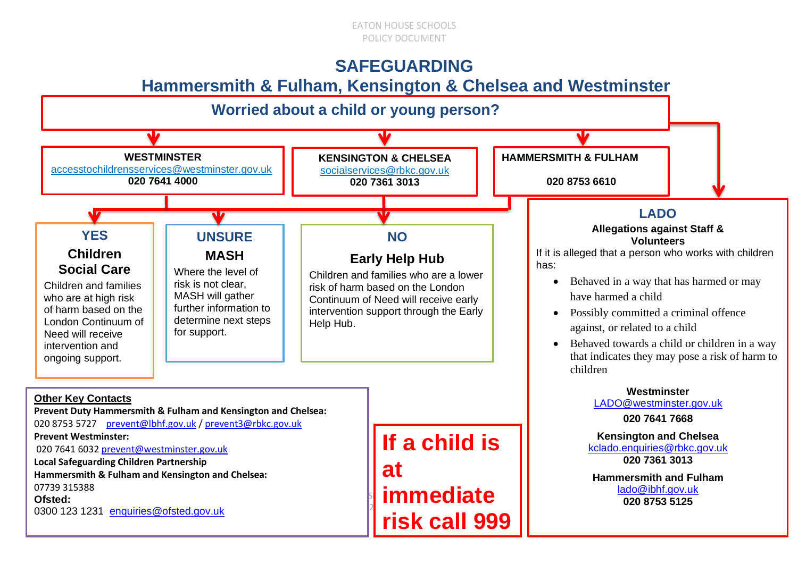### **SAFEGUARDING**

### **Hammersmith & Fulham, Kensington & Chelsea and Westminster**

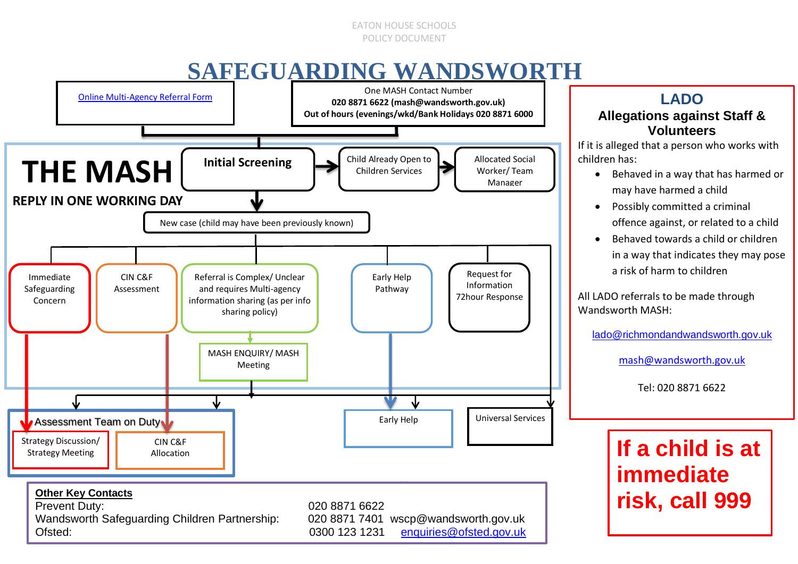#### EATON HOUSE SCHOOLS POLICY DOCUMENT

### **SAFEGUARDING WANDSWORTH**



### **LADO Allegations against Staff & Volunteers**

If it is alleged that a person who works with children has:

- Behaved in a way that has harmed or may have harmed a child
- Possibly committed a criminal offence against, or related to a child
- Behaved towards a child or children in a way that indicates they may pose a risk of harm to children

All LADO referrals to be made through Wandsworth MASH:

lado@richmondandwandsworth.gov.uk

mash@wandsworth.gov.uk

Tel: 020 8871 6622

### **If a child is at immediate risk, call 999**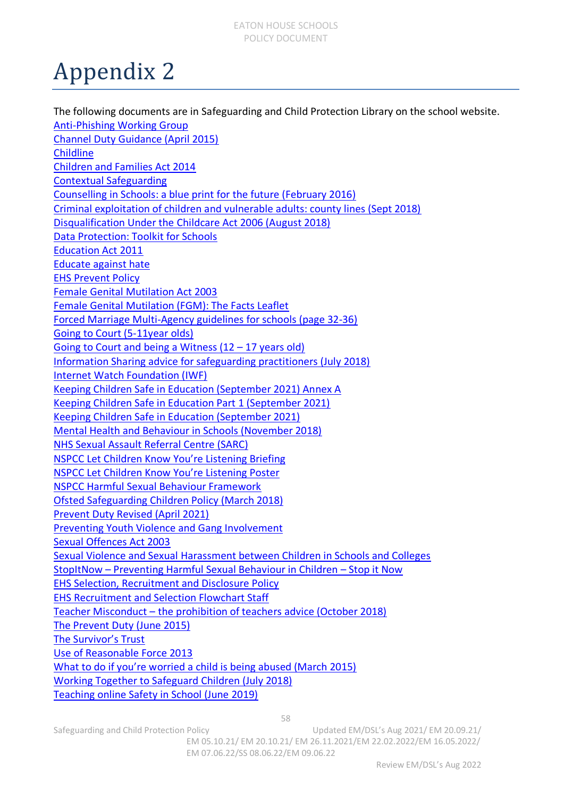### <span id="page-57-0"></span>Appendix 2

The following documents are in Safeguarding and Child Protection Library on the school website. Anti-Phishing Working Group Channel Duty Guidance (April 2015) **Childline** Children and Families Act 2014 Contextual Safeguarding Counselling in Schools: a blue print for the future (February 2016) Criminal exploitation of children and vulnerable adults: county lines (Sept 2018) Disqualification Under the Childcare Act 2006 (August 2018) Data Protection: Toolkit for Schools Education Act 2011 Educate against hate EHS Prevent Policy Female Genital Mutilation Act 2003 Female Genital Mutilation (FGM): The Facts Leaflet Forced Marriage Multi-Agency guidelines for schools (page 32-36) Going to Court (5-11year olds) Going to Court and being a Witness (12 – 17 years old) Information Sharing advice for safeguarding practitioners (July 2018) Internet Watch Foundation (IWF) Keeping Children Safe in Education (September 2021) Annex A Keeping Children Safe in Education Part 1 (September 2021) Keeping Children Safe in Education (September 2021) Mental Health and Behaviour in Schools (November 2018) NHS Sexual Assault Referral Centre (SARC) NSPCC Let Children Know You're Listening Briefing NSPCC Let Children Know You're Listening Poster NSPCC Harmful Sexual Behaviour Framework Ofsted Safeguarding Children Policy (March 2018) Prevent Duty Revised (April 2021) Preventing Youth Violence and Gang Involvement Sexual Offences Act 2003 Sexual Violence and Sexual Harassment between Children in Schools and Colleges StopItNow – Preventing Harmful Sexual Behaviour in Children – Stop it Now EHS Selection, Recruitment and Disclosure Policy EHS Recruitment and Selection Flowchart Staff Teacher Misconduct – the prohibition of teachers advice (October 2018) The Prevent Duty (June 2015) The Survivor's Trust Use of Reasonable Force 2013 What to do if you're worried a child is being abused (March 2015) Working Together to Safeguard Children (July 2018) Teaching online Safety in School (June 2019)